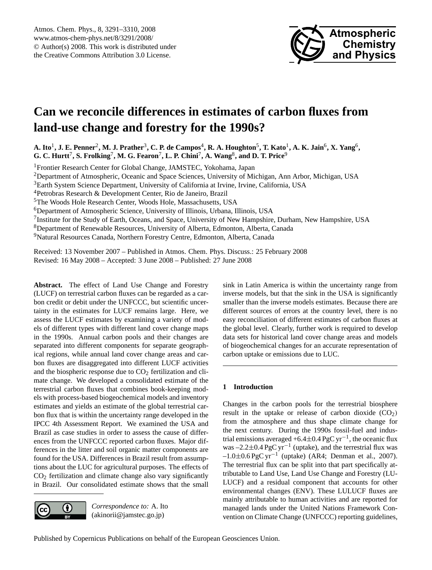

# <span id="page-0-0"></span>**Can we reconcile differences in estimates of carbon fluxes from land-use change and forestry for the 1990s?**

A. Ito<sup>1</sup>, J. E. Penner<sup>2</sup>, M. J. Prather<sup>3</sup>, C. P. de Campos<sup>4</sup>, R. A. Houghton<sup>5</sup>, T. Kato<sup>1</sup>, A. K. Jain<sup>6</sup>, X. Yang<sup>6</sup>,  $\,$  G. C. Hurtt<sup>7</sup>, S. Frolking<sup>7</sup>, M. G. Fearon<sup>7</sup>, L. P. Chini<sup>7</sup>, A. Wang<sup>8</sup>, and D. T. Price<sup>9</sup>

<sup>1</sup> Frontier Research Center for Global Change, JAMSTEC, Yokohama, Japan

<sup>2</sup>Department of Atmospheric, Oceanic and Space Sciences, University of Michigan, Ann Arbor, Michigan, USA

<sup>3</sup>Earth System Science Department, University of California at Irvine, Irvine, California, USA

<sup>4</sup>Petrobras Research & Development Center, Rio de Janeiro, Brazil

<sup>5</sup>The Woods Hole Research Center, Woods Hole, Massachusetts, USA

<sup>6</sup>Department of Atmospheric Science, University of Illinois, Urbana, Illinois, USA

<sup>7</sup>Institute for the Study of Earth, Oceans, and Space, University of New Hampshire, Durham, New Hampshire, USA

<sup>8</sup>Department of Renewable Resources, University of Alberta, Edmonton, Alberta, Canada

<sup>9</sup>Natural Resources Canada, Northern Forestry Centre, Edmonton, Alberta, Canada

Received: 13 November 2007 – Published in Atmos. Chem. Phys. Discuss.: 25 February 2008 Revised: 16 May 2008 – Accepted: 3 June 2008 – Published: 27 June 2008

**Abstract.** The effect of Land Use Change and Forestry (LUCF) on terrestrial carbon fluxes can be regarded as a carbon credit or debit under the UNFCCC, but scientific uncertainty in the estimates for LUCF remains large. Here, we assess the LUCF estimates by examining a variety of models of different types with different land cover change maps in the 1990s. Annual carbon pools and their changes are separated into different components for separate geographical regions, while annual land cover change areas and carbon fluxes are disaggregated into different LUCF activities and the biospheric response due to  $CO<sub>2</sub>$  fertilization and climate change. We developed a consolidated estimate of the terrestrial carbon fluxes that combines book-keeping models with process-based biogeochemical models and inventory estimates and yields an estimate of the global terrestrial carbon flux that is within the uncertainty range developed in the IPCC 4th Assessment Report. We examined the USA and Brazil as case studies in order to assess the cause of differences from the UNFCCC reported carbon fluxes. Major differences in the litter and soil organic matter components are found for the USA. Differences in Brazil result from assumptions about the LUC for agricultural purposes. The effects of  $CO<sub>2</sub>$  fertilization and climate change also vary significantly in Brazil. Our consolidated estimate shows that the small



*Correspondence to:* A. Ito (akinorii@jamstec.go.jp)

sink in Latin America is within the uncertainty range from inverse models, but that the sink in the USA is significantly smaller than the inverse models estimates. Because there are different sources of errors at the country level, there is no easy reconciliation of different estimates of carbon fluxes at the global level. Clearly, further work is required to develop data sets for historical land cover change areas and models of biogeochemical changes for an accurate representation of carbon uptake or emissions due to LUC.

# **1 Introduction**

Changes in the carbon pools for the terrestrial biosphere result in the uptake or release of carbon dioxide  $(CO<sub>2</sub>)$ from the atmosphere and thus shape climate change for the next century. During the 1990s fossil-fuel and industrial emissions averaged +6.4 $\pm$ 0.4 PgC yr<sup>-1</sup>, the oceanic flux was –2.2±0.4 PgC yr−<sup>1</sup> (uptake), and the terrestrial flux was  $-1.0\pm0.6$  PgC yr<sup>-1</sup> (uptake) (AR4; Denman et al., 2007). The terrestrial flux can be split into that part specifically attributable to Land Use, Land Use Change and Forestry (LU-LUCF) and a residual component that accounts for other environmental changes (ENV). These LULUCF fluxes are mainly attributable to human activities and are reported for managed lands under the United Nations Framework Convention on Climate Change (UNFCCC) reporting guidelines,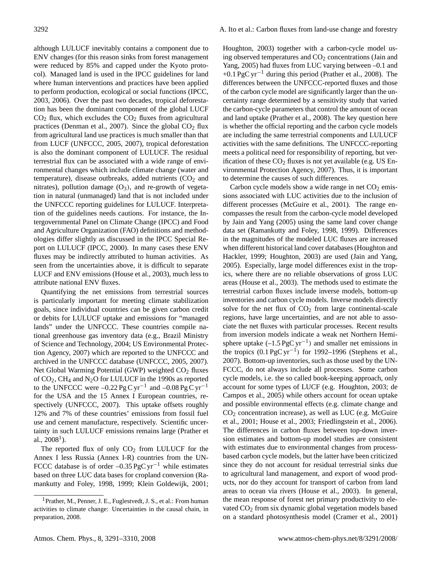although LULUCF inevitably contains a component due to ENV changes (for this reason sinks from forest management were reduced by 85% and capped under the Kyoto protocol). Managed land is used in the IPCC guidelines for land where human interventions and practices have been applied to perform production, ecological or social functions (IPCC, 2003, 2006). Over the past two decades, tropical deforestation has been the dominant component of the global LUCF  $CO<sub>2</sub>$  flux, which excludes the  $CO<sub>2</sub>$  fluxes from agricultural practices (Denman et al., 2007). Since the global  $CO<sub>2</sub>$  flux from agricultural land use practices is much smaller than that from LUCF (UNFCCC, 2005, 2007), tropical deforestation is also the dominant component of LULUCF. The residual terrestrial flux can be associated with a wide range of environmental changes which include climate change (water and temperature), disease outbreaks, added nutrients  $(CO<sub>2</sub>)$  and nitrates), pollution damage  $(O_3)$ , and re-growth of vegetation in natural (unmanaged) land that is not included under the UNFCCC reporting guidelines for LULUCF. Interpretation of the guidelines needs cautions. For instance, the Intergovernmental Panel on Climate Change (IPCC) and Food and Agriculture Organization (FAO) definitions and methodologies differ slightly as discussed in the IPCC Special Report on LULUCF (IPCC, 2000). In many cases these ENV fluxes may be indirectly attributed to human activities. As seen from the uncertainties above, it is difficult to separate LUCF and ENV emissions (House et al., 2003), much less to attribute national ENV fluxes.

Quantifying the net emissions from terrestrial sources is particularly important for meeting climate stabilization goals, since individual countries can be given carbon credit or debits for LULUCF uptake and emissions for "managed lands" under the UNFCCC. These countries compile national greenhouse gas inventory data (e.g., Brazil Ministry of Science and Technology, 2004; US Environmental Protection Agency, 2007) which are reported to the UNFCCC and archived in the UNFCCC database (UNFCCC, 2005, 2007). Net Global Warming Potential (GWP) weighted  $CO<sub>2</sub>$  fluxes of  $CO<sub>2</sub>$ , CH<sub>4</sub> and N<sub>2</sub>O for LULUCF in the 1990s as reported to the UNFCCC were  $-0.22 \text{Pg C yr}^{-1}$  and  $-0.08 \text{Pg C yr}^{-1}$ for the USA and the 15 Annex I European countries, respectively (UNFCCC, 2007). This uptake offsets roughly 12% and 7% of these countries' emissions from fossil fuel use and cement manufacture, respectively. Scientific uncertainty in such LULUCF emissions remains large (Prather et al.,  $2008<sup>1</sup>$  $2008<sup>1</sup>$  $2008<sup>1</sup>$ ).

The reported flux of only  $CO<sub>2</sub>$  from LULUCF for the Annex I less Russia (Annex I-R) countries from the UN-FCCC database is of order –0.35 PgC yr<sup>-1</sup> while estimates based on three LUC data bases for cropland conversion (Ramankutty and Foley, 1998, 1999; Klein Goldewijk, 2001; Houghton, 2003) together with a carbon-cycle model using observed temperatures and  $CO<sub>2</sub>$  concentrations (Jain and Yang, 2005) had fluxes from LUC varying between –0.1 and +0.1 PgC yr<sup>-1</sup> during this period (Prather et al., 2008). The differences between the UNFCCC-reported fluxes and those of the carbon cycle model are significantly larger than the uncertainty range determined by a sensitivity study that varied the carbon-cycle parameters that control the amount of ocean and land uptake (Prather et al., 2008). The key question here is whether the official reporting and the carbon cycle models are including the same terrestrial components and LULUCF activities with the same definitions. The UNFCCC-reporting meets a political need for responsibility of reporting, but verification of these  $CO<sub>2</sub>$  fluxes is not yet available (e.g. US Environmental Protection Agency, 2007). Thus, it is important to determine the causes of such differences.

Carbon cycle models show a wide range in net  $CO<sub>2</sub>$  emissions associated with LUC activities due to the inclusion of different processes (McGuire et al., 2001). The range encompasses the result from the carbon-cycle model developed by Jain and Yang (2005) using the same land cover change data set (Ramankutty and Foley, 1998, 1999). Differences in the magnitudes of the modeled LUC fluxes are increased when different historical land cover databases (Houghton and Hackler, 1999; Houghton, 2003) are used (Jain and Yang, 2005). Especially, large model differences exist in the tropics, where there are no reliable observations of gross LUC areas (House et al., 2003). The methods used to estimate the terrestrial carbon fluxes include inverse models, bottom-up inventories and carbon cycle models. Inverse models directly solve for the net flux of  $CO<sub>2</sub>$  from large continental-scale regions, have large uncertainties, and are not able to associate the net fluxes with particular processes. Recent results from inversion models indicate a weak net Northern Hemisphere uptake  $(-1.5 \text{PgC yr}^{-1})$  and smaller net emissions in the tropics  $(0.1 \text{PgC yr}^{-1})$  for 1992–1996 (Stephens et al., 2007). Bottom-up inventories, such as those used by the UN-FCCC, do not always include all processes. Some carbon cycle models, i.e. the so called book-keeping approach, only account for some types of LUCF (e.g. Houghton, 2003; de Campos et al., 2005) while others account for ocean uptake and possible environmental effects (e.g. climate change and CO<sup>2</sup> concentration increase), as well as LUC (e.g. McGuire et al., 2001; House et al., 2003; Friedlingstein et al., 2006). The differences in carbon fluxes between top-down inversion estimates and bottom-up model studies are consistent with estimates due to environmental changes from processbased carbon cycle models, but the latter have been criticized since they do not account for residual terrestrial sinks due to agricultural land management, and export of wood products, nor do they account for transport of carbon from land areas to ocean via rivers (House et al., 2003). In general, the mean response of forest net primary productivity to elevated  $CO<sub>2</sub>$  from six dynamic global vegetation models based on a standard photosynthesis model (Cramer et al., 2001)

<span id="page-1-0"></span><sup>&</sup>lt;sup>1</sup> Prather, M., Penner, J. E., Fuglestvedt, J. S., et al.: From human activities to climate change: Uncertainties in the causal chain, in preparation, 2008.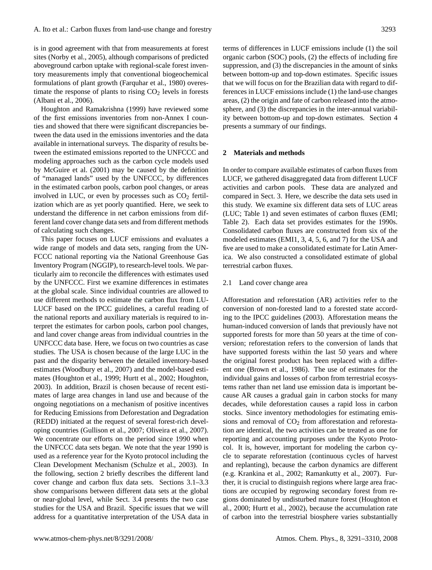is in good agreement with that from measurements at forest sites (Norby et al., 2005), although comparisons of predicted aboveground carbon uptake with regional-scale forest inventory measurements imply that conventional biogeochemical formulations of plant growth (Farquhar et al., 1980) overestimate the response of plants to rising  $CO<sub>2</sub>$  levels in forests (Albani et al., 2006).

Houghton and Ramakrishna (1999) have reviewed some of the first emissions inventories from non-Annex I counties and showed that there were significant discrepancies between the data used in the emissions inventories and the data available in international surveys. The disparity of results between the estimated emissions reported to the UNFCCC and modeling approaches such as the carbon cycle models used by McGuire et al. (2001) may be caused by the definition of "managed lands" used by the UNFCCC, by differences in the estimated carbon pools, carbon pool changes, or areas involved in LUC, or even by processes such as  $CO<sub>2</sub>$  fertilization which are as yet poorly quantified. Here, we seek to understand the difference in net carbon emissions from different land cover change data sets and from different methods of calculating such changes.

This paper focuses on LUCF emissions and evaluates a wide range of models and data sets, ranging from the UN-FCCC national reporting via the National Greenhouse Gas Inventory Program (NGGIP), to research-level tools. We particularly aim to reconcile the differences with estimates used by the UNFCCC. First we examine differences in estimates at the global scale. Since individual countries are allowed to use different methods to estimate the carbon flux from LU-LUCF based on the IPCC guidelines, a careful reading of the national reports and auxiliary materials is required to interpret the estimates for carbon pools, carbon pool changes, and land cover change areas from individual countries in the UNFCCC data base. Here, we focus on two countries as case studies. The USA is chosen because of the large LUC in the past and the disparity between the detailed inventory-based estimates (Woodbury et al., 2007) and the model-based estimates (Houghton et al., 1999; Hurtt et al., 2002; Houghton, 2003). In addition, Brazil is chosen because of recent estimates of large area changes in land use and because of the ongoing negotiations on a mechanism of positive incentives for Reducing Emissions from Deforestation and Degradation (REDD) initiated at the request of several forest-rich developing countries (Gullison et al., 2007; Oliveira et al., 2007). We concentrate our efforts on the period since 1990 when the UNFCCC data sets began. We note that the year 1990 is used as a reference year for the Kyoto protocol including the Clean Development Mechanism (Schulze et al., 2003). In the following, section 2 briefly describes the different land cover change and carbon flux data sets. Sections 3.1–3.3 show comparisons between different data sets at the global or near-global level, while Sect. 3.4 presents the two case studies for the USA and Brazil. Specific issues that we will address for a quantitative interpretation of the USA data in terms of differences in LUCF emissions include (1) the soil organic carbon (SOC) pools, (2) the effects of including fire suppression, and (3) the discrepancies in the amount of sinks between bottom-up and top-down estimates. Specific issues that we will focus on for the Brazilian data with regard to differences in LUCF emissions include (1) the land-use changes areas, (2) the origin and fate of carbon released into the atmosphere, and (3) the discrepancies in the inter-annual variability between bottom-up and top-down estimates. Section 4 presents a summary of our findings.

# **2 Materials and methods**

In order to compare available estimates of carbon fluxes from LUCF, we gathered disaggregated data from different LUCF activities and carbon pools. These data are analyzed and compared in Sect. 3. Here, we describe the data sets used in this study. We examine six different data sets of LUC areas (LUC; Table 1) and seven estimates of carbon fluxes (EMI; Table 2). Each data set provides estimates for the 1990s. Consolidated carbon fluxes are constructed from six of the modeled estimates (EMI1, 3, 4, 5, 6, and 7) for the USA and five are used to make a consolidated estimate for Latin America. We also constructed a consolidated estimate of global terrestrial carbon fluxes.

# 2.1 Land cover change area

Afforestation and reforestation (AR) activities refer to the conversion of non-forested land to a forested state according to the IPCC guidelines (2003). Afforestation means the human-induced conversion of lands that previously have not supported forests for more than 50 years at the time of conversion; reforestation refers to the conversion of lands that have supported forests within the last 50 years and where the original forest product has been replaced with a different one (Brown et al., 1986). The use of estimates for the individual gains and losses of carbon from terrestrial ecosystems rather than net land use emission data is important because AR causes a gradual gain in carbon stocks for many decades, while deforestation causes a rapid loss in carbon stocks. Since inventory methodologies for estimating emissions and removal of  $CO<sub>2</sub>$  from afforestation and reforestation are identical, the two activities can be treated as one for reporting and accounting purposes under the Kyoto Protocol. It is, however, important for modeling the carbon cycle to separate reforestation (continuous cycles of harvest and replanting), because the carbon dynamics are different (e.g. Krankina et al., 2002; Ramankutty et al., 2007). Further, it is crucial to distinguish regions where large area fractions are occupied by regrowing secondary forest from regions dominated by undisturbed mature forest (Houghton et al., 2000; Hurtt et al., 2002), because the accumulation rate of carbon into the terrestrial biosphere varies substantially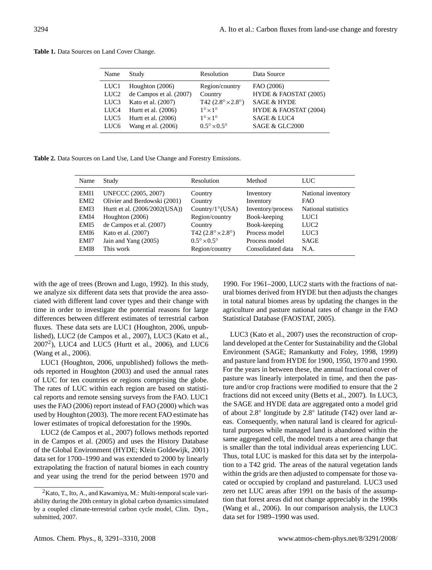| Table 1. Data Sources on Land Cover Change. |  |  |  |
|---------------------------------------------|--|--|--|
|---------------------------------------------|--|--|--|

| Name             | Study                   | Resolution                             | Data Source            |
|------------------|-------------------------|----------------------------------------|------------------------|
| LUC1             | Houghton (2006)         | Region/country                         | FAO (2006)             |
| LUC <sub>2</sub> | de Campos et al. (2007) | Country                                | HYDE & FAOSTAT (2005)  |
| LUC <sub>3</sub> | Kato et al. (2007)      | T42 $(2.8^{\circ} \times 2.8^{\circ})$ | <b>SAGE &amp; HYDE</b> |
| LUC <sub>4</sub> | Hurtt et al. $(2006)$   | $1^\circ \times 1^\circ$               | HYDE & FAOSTAT (2004)  |
| LUC5             | Hurtt et al. $(2006)$   | $1^\circ \times 1^\circ$               | <b>SAGE &amp; LUC4</b> |
| LUC6             | Wang et al. (2006)      | $0.5^\circ \times 0.5^\circ$           | SAGE & GLC2000         |

**Table 2.** Data Sources on Land Use, Land Use Change and Forestry Emissions.

| Name | Study                         | Resolution                             | Method            | <b>LUC</b>          |
|------|-------------------------------|----------------------------------------|-------------------|---------------------|
| EMI1 | UNFCCC (2005, 2007)           | Country                                | Inventory         | National inventory  |
| EMI2 | Olivier and Berdowski (2001)  | Country                                | Inventory         | <b>FAO</b>          |
| EMI3 | Hurtt et al. (2006/2002(USA)) | Country/ $1^{\circ}$ (USA)             | Inventory/process | National statistics |
| EMI4 | Houghton $(2006)$             | Region/country                         | Book-keeping      | LUC <sub>1</sub>    |
| EMI5 | de Campos et al. (2007)       | Country                                | Book-keeping      | LUC <sub>2</sub>    |
| EMI6 | Kato et al. (2007)            | T42 $(2.8^{\circ} \times 2.8^{\circ})$ | Process model     | LUC <sub>3</sub>    |
| EMI7 | Jain and Yang (2005)          | $0.5^\circ \times 0.5^\circ$           | Process model     | <b>SAGE</b>         |
| EMI8 | This work                     | Region/country                         | Consolidated data | N.A.                |

with the age of trees (Brown and Lugo, 1992). In this study, we analyze six different data sets that provide the area associated with different land cover types and their change with time in order to investigate the potential reasons for large differences between different estimates of terrestrial carbon fluxes. These data sets are LUC1 (Houghton, 2006, unpublished), LUC2 (de Campos et al., 2007), LUC3 (Kato et al., 2007[2](#page-3-0) ), LUC4 and LUC5 (Hurtt et al., 2006), and LUC6 (Wang et al., 2006).

LUC1 (Houghton, 2006, unpublished) follows the methods reported in Houghton (2003) and used the annual rates of LUC for ten countries or regions comprising the globe. The rates of LUC within each region are based on statistical reports and remote sensing surveys from the FAO. LUC1 uses the FAO (2006) report instead of FAO (2000) which was used by Houghton (2003). The more recent FAO estimate has lower estimates of tropical deforestation for the 1990s.

LUC2 (de Campos et al., 2007) follows methods reported in de Campos et al. (2005) and uses the History Database of the Global Environment (HYDE; Klein Goldewijk, 2001) data set for 1700–1990 and was extended to 2000 by linearly extrapolating the fraction of natural biomes in each country and year using the trend for the period between 1970 and

1990. For 1961–2000, LUC2 starts with the fractions of natural biomes derived from HYDE but then adjusts the changes in total natural biomes areas by updating the changes in the agriculture and pasture national rates of change in the FAO Statistical Database (FAOSTAT, 2005).

LUC3 (Kato et al., 2007) uses the reconstruction of cropland developed at the Center for Sustainability and the Global Environment (SAGE; Ramankutty and Foley, 1998, 1999) and pasture land from HYDE for 1900, 1950, 1970 and 1990. For the years in between these, the annual fractional cover of pasture was linearly interpolated in time, and then the pasture and/or crop fractions were modified to ensure that the 2 fractions did not exceed unity (Betts et al., 2007). In LUC3, the SAGE and HYDE data are aggregated onto a model grid of about 2.8◦ longitude by 2.8◦ latitude (T42) over land areas. Consequently, when natural land is cleared for agricultural purposes while managed land is abandoned within the same aggregated cell, the model treats a net area change that is smaller than the total individual areas experiencing LUC. Thus, total LUC is masked for this data set by the interpolation to a T42 grid. The areas of the natural vegetation lands within the grids are then adjusted to compensate for those vacated or occupied by cropland and pastureland. LUC3 used zero net LUC areas after 1991 on the basis of the assumption that forest areas did not change appreciably in the 1990s (Wang et al., 2006). In our comparison analysis, the LUC3 data set for 1989–1990 was used.

<span id="page-3-0"></span> $2$ Kato, T., Ito, A., and Kawamiya, M.: Multi-temporal scale variability during the 20th century in global carbon dynamics simulated by a coupled climate-terrestrial carbon cycle model, Clim. Dyn., submitted, 2007.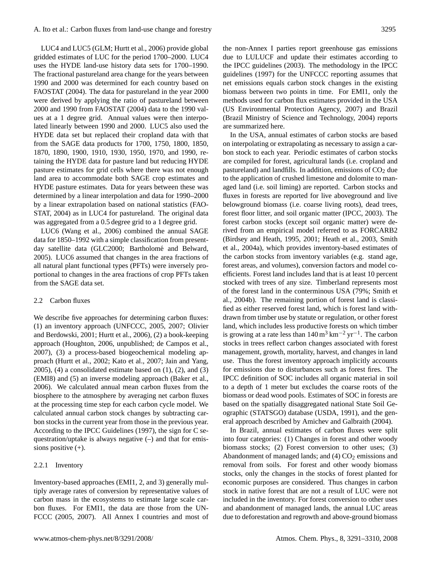LUC4 and LUC5 (GLM; Hurtt et al., 2006) provide global gridded estimates of LUC for the period 1700–2000. LUC4 uses the HYDE land-use history data sets for 1700–1990. The fractional pastureland area change for the years between 1990 and 2000 was determined for each country based on FAOSTAT (2004). The data for pastureland in the year 2000 were derived by applying the ratio of pastureland between 2000 and 1990 from FAOSTAT (2004) data to the 1990 values at a 1 degree grid. Annual values were then interpolated linearly between 1990 and 2000. LUC5 also used the HYDE data set but replaced their cropland data with that from the SAGE data products for 1700, 1750, 1800, 1850, 1870, 1890, 1900, 1910, 1930, 1950, 1970, and 1990, retaining the HYDE data for pasture land but reducing HYDE pasture estimates for grid cells where there was not enough land area to accommodate both SAGE crop estimates and HYDE pasture estimates. Data for years between these was determined by a linear interpolation and data for 1990–2000 by a linear extrapolation based on national statistics (FAO-STAT, 2004) as in LUC4 for pastureland. The original data was aggregated from a 0.5 degree grid to a 1 degree grid.

LUC6 (Wang et al., 2006) combined the annual SAGE data for 1850–1992 with a simple classification from presentday satellite data (GLC2000; Bartholomé and Belward, 2005). LUC6 assumed that changes in the area fractions of all natural plant functional types (PFTs) were inversely proportional to changes in the area fractions of crop PFTs taken from the SAGE data set.

# 2.2 Carbon fluxes

We describe five approaches for determining carbon fluxes: (1) an inventory approach (UNFCCC, 2005, 2007; Olivier and Berdowski, 2001; Hurtt et al., 2006), (2) a book-keeping approach (Houghton, 2006, unpublished; de Campos et al., 2007), (3) a process-based biogeochemical modeling approach (Hurtt et al., 2002; Kato et al., 2007; Jain and Yang,  $2005$ ), (4) a consolidated estimate based on  $(1)$ ,  $(2)$ , and  $(3)$ (EMI8) and (5) an inverse modeling approach (Baker et al., 2006). We calculated annual mean carbon fluxes from the biosphere to the atmosphere by averaging net carbon fluxes at the processing time step for each carbon cycle model. We calculated annual carbon stock changes by subtracting carbon stocks in the current year from those in the previous year. According to the IPCC Guidelines (1997), the sign for C sequestration/uptake is always negative (–) and that for emissions positive  $(+)$ .

# 2.2.1 Inventory

Inventory-based approaches (EMI1, 2, and 3) generally multiply average rates of conversion by representative values of carbon mass in the ecosystems to estimate large scale carbon fluxes. For EMI1, the data are those from the UN-FCCC (2005, 2007). All Annex I countries and most of the non-Annex I parties report greenhouse gas emissions due to LULUCF and update their estimates according to the IPCC guidelines (2003). The methodology in the IPCC guidelines (1997) for the UNFCCC reporting assumes that net emissions equals carbon stock changes in the existing biomass between two points in time. For EMI1, only the methods used for carbon flux estimates provided in the USA (US Environmental Protection Agency, 2007) and Brazil (Brazil Ministry of Science and Technology, 2004) reports are summarized here.

In the USA, annual estimates of carbon stocks are based on interpolating or extrapolating as necessary to assign a carbon stock to each year. Periodic estimates of carbon stocks are compiled for forest, agricultural lands (i.e. cropland and pastureland) and landfills. In addition, emissions of  $CO<sub>2</sub>$  due to the application of crushed limestone and dolomite to managed land (i.e. soil liming) are reported. Carbon stocks and fluxes in forests are reported for live aboveground and live belowground biomass (i.e. coarse living roots), dead trees, forest floor litter, and soil organic matter (IPCC, 2003). The forest carbon stocks (except soil organic matter) were derived from an empirical model referred to as FORCARB2 (Birdsey and Heath, 1995, 2001; Heath et al., 2003, Smith et al., 2004a), which provides inventory-based estimates of the carbon stocks from inventory variables (e.g. stand age, forest areas, and volumes), conversion factors and model coefficients. Forest land includes land that is at least 10 percent stocked with trees of any size. Timberland represents most of the forest land in the conterminous USA (79%; Smith et al., 2004b). The remaining portion of forest land is classified as either reserved forest land, which is forest land withdrawn from timber use by statute or regulation, or other forest land, which includes less productive forests on which timber is growing at a rate less than  $140 \text{ m}^3 \text{ km}^{-2} \text{ yr}^{-1}$ . The carbon stocks in trees reflect carbon changes associated with forest management, growth, mortality, harvest, and changes in land use. Thus the forest inventory approach implicitly accounts for emissions due to disturbances such as forest fires. The IPCC definition of SOC includes all organic material in soil to a depth of 1 meter but excludes the coarse roots of the biomass or dead wood pools. Estimates of SOC in forests are based on the spatially disaggregated national State Soil Geographic (STATSGO) database (USDA, 1991), and the general approach described by Amichev and Galbraith (2004).

In Brazil, annual estimates of carbon fluxes were split into four categories: (1) Changes in forest and other woody biomass stocks; (2) Forest conversion to other uses; (3) Abandonment of managed lands; and  $(4)$  CO<sub>2</sub> emissions and removal from soils. For forest and other woody biomass stocks, only the changes in the stocks of forest planted for economic purposes are considered. Thus changes in carbon stock in native forest that are not a result of LUC were not included in the inventory. For forest conversion to other uses and abandonment of managed lands, the annual LUC areas due to deforestation and regrowth and above-ground biomass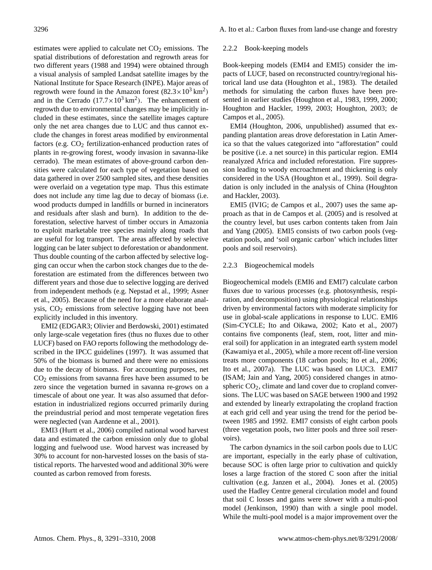estimates were applied to calculate net  $CO<sub>2</sub>$  emissions. The spatial distributions of deforestation and regrowth areas for two different years (1988 and 1994) were obtained through a visual analysis of sampled Landsat satellite images by the National Institute for Space Research (INPE). Major areas of regrowth were found in the Amazon forest  $(82.3 \times 10^3 \text{ km}^2)$ and in the Cerrado  $(17.7 \times 10^3 \text{ km}^2)$ . The enhancement of regrowth due to environmental changes may be implicitly included in these estimates, since the satellite images capture only the net area changes due to LUC and thus cannot exclude the changes in forest areas modified by environmental factors (e.g.  $CO<sub>2</sub>$  fertilization-enhanced production rates of plants in re-growing forest, woody invasion in savanna-like cerrado). The mean estimates of above-ground carbon densities were calculated for each type of vegetation based on data gathered in over 2500 sampled sites, and these densities were overlaid on a vegetation type map. Thus this estimate does not include any time lag due to decay of biomass (i.e. wood products dumped in landfills or burned in incinerators and residuals after slash and burn). In addition to the deforestation, selective harvest of timber occurs in Amazonia to exploit marketable tree species mainly along roads that are useful for log transport. The areas affected by selective logging can be later subject to deforestation or abandonment. Thus double counting of the carbon affected by selective logging can occur when the carbon stock changes due to the deforestation are estimated from the differences between two different years and those due to selective logging are derived from independent methods (e.g. Nepstad et al., 1999; Asner et al., 2005). Because of the need for a more elaborate analysis,  $CO<sub>2</sub>$  emissions from selective logging have not been explicitly included in this inventory.

EMI2 (EDGAR3; Olivier and Berdowski, 2001) estimated only large-scale vegetation fires (thus no fluxes due to other LUCF) based on FAO reports following the methodology described in the IPCC guidelines (1997). It was assumed that 50% of the biomass is burned and there were no emissions due to the decay of biomass. For accounting purposes, net  $CO<sub>2</sub>$  emissions from savanna fires have been assumed to be zero since the vegetation burned in savanna re-grows on a timescale of about one year. It was also assumed that deforestation in industrialized regions occurred primarily during the preindustrial period and most temperate vegetation fires were neglected (van Aardenne et al., 2001).

EMI3 (Hurtt et al., 2006) compiled national wood harvest data and estimated the carbon emission only due to global logging and fuelwood use. Wood harvest was increased by 30% to account for non-harvested losses on the basis of statistical reports. The harvested wood and additional 30% were counted as carbon removed from forests.

# 2.2.2 Book-keeping models

Book-keeping models (EMI4 and EMI5) consider the impacts of LUCF, based on reconstructed country/regional historical land use data (Houghton et al., 1983). The detailed methods for simulating the carbon fluxes have been presented in earlier studies (Houghton et al., 1983, 1999, 2000; Houghton and Hackler, 1999, 2003; Houghton, 2003; de Campos et al., 2005).

EMI4 (Houghton, 2006, unpublished) assumed that expanding plantation areas drove deforestation in Latin America so that the values categorized into "afforestation" could be positive (i.e. a net source) in this particular region. EMI4 reanalyzed Africa and included reforestation. Fire suppression leading to woody encroachment and thickening is only considered in the USA (Houghton et al., 1999). Soil degradation is only included in the analysis of China (Houghton and Hackler, 2003).

EMI5 (IVIG; de Campos et al., 2007) uses the same approach as that in de Campos et al. (2005) and is resolved at the country level, but uses carbon contents taken from Jain and Yang (2005). EMI5 consists of two carbon pools (vegetation pools, and 'soil organic carbon' which includes litter pools and soil reservoirs).

# 2.2.3 Biogeochemical models

Biogeochemical models (EMI6 and EMI7) calculate carbon fluxes due to various processes (e.g. photosynthesis, respiration, and decomposition) using physiological relationships driven by environmental factors with moderate simplicity for use in global-scale applications in response to LUC. EMI6 (Sim-CYCLE; Ito and Oikawa, 2002; Kato et al., 2007) contains five components (leaf, stem, root, litter and mineral soil) for application in an integrated earth system model (Kawamiya et al., 2005), while a more recent off-line version treats more components (18 carbon pools; Ito et al., 2006; Ito et al., 2007a). The LUC was based on LUC3. EMI7 (ISAM; Jain and Yang, 2005) considered changes in atmospheric  $CO<sub>2</sub>$ , climate and land cover due to cropland conversions. The LUC was based on SAGE between 1900 and 1992 and extended by linearly extrapolating the cropland fraction at each grid cell and year using the trend for the period between 1985 and 1992. EMI7 consists of eight carbon pools (three vegetation pools, two litter pools and three soil reservoirs).

The carbon dynamics in the soil carbon pools due to LUC are important, especially in the early phase of cultivation, because SOC is often large prior to cultivation and quickly loses a large fraction of the stored C soon after the initial cultivation (e.g. Janzen et al., 2004). Jones et al. (2005) used the Hadley Centre general circulation model and found that soil C losses and gains were slower with a multi-pool model (Jenkinson, 1990) than with a single pool model. While the multi-pool model is a major improvement over the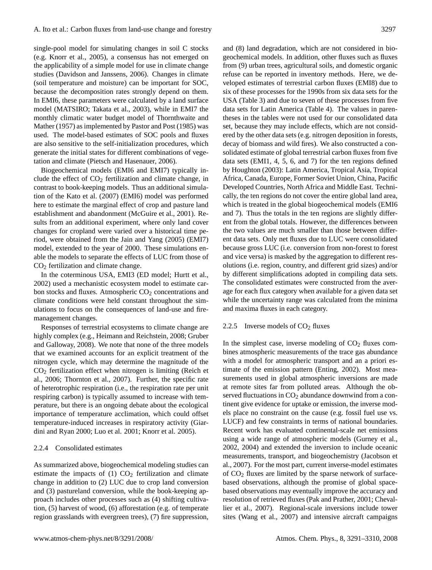single-pool model for simulating changes in soil C stocks (e.g. Knorr et al., 2005), a consensus has not emerged on the applicability of a simple model for use in climate change studies (Davidson and Janssens, 2006). Changes in climate (soil temperature and moisture) can be important for SOC, because the decomposition rates strongly depend on them. In EMI6, these parameters were calculated by a land surface model (MATSIRO; Takata et al., 2003), while in EMI7 the monthly climatic water budget model of Thornthwaite and Mather (1957) as implemented by Pastor and Post (1985) was used. The model-based estimates of SOC pools and fluxes are also sensitive to the self-initialization procedures, which generate the initial states for different combinations of vegetation and climate (Pietsch and Hasenauer, 2006).

Biogeochemical models (EMI6 and EMI7) typically include the effect of  $CO<sub>2</sub>$  fertilization and climate change, in contrast to book-keeping models. Thus an additional simulation of the Kato et al. (2007) (EMI6) model was performed here to estimate the marginal effect of crop and pasture land establishment and abandonment (McGuire et al., 2001). Results from an additional experiment, where only land cover changes for cropland were varied over a historical time period, were obtained from the Jain and Yang (2005) (EMI7) model, extended to the year of 2000. These simulations enable the models to separate the effects of LUC from those of CO<sup>2</sup> fertilization and climate change.

In the coterminous USA, EMI3 (ED model; Hurtt et al., 2002) used a mechanistic ecosystem model to estimate carbon stocks and fluxes. Atmospheric  $CO<sub>2</sub>$  concentrations and climate conditions were held constant throughout the simulations to focus on the consequences of land-use and firemanagement changes.

Responses of terrestrial ecosystems to climate change are highly complex (e.g., Heimann and Reichstein, 2008; Gruber and Galloway, 2008). We note that none of the three models that we examined accounts for an explicit treatment of the nitrogen cycle, which may determine the magnitude of the  $CO<sub>2</sub>$  fertilization effect when nitrogen is limiting (Reich et al., 2006; Thornton et al., 2007). Further, the specific rate of heterotrophic respiration (i.e., the respiration rate per unit respiring carbon) is typically assumed to increase with temperature, but there is an ongoing debate about the ecological importance of temperature acclimation, which could offset temperature-induced increases in respiratory activity (Giardini and Ryan 2000; Luo et al. 2001; Knorr et al. 2005).

# 2.2.4 Consolidated estimates

As summarized above, biogeochemical modeling studies can estimate the impacts of  $(1)$  CO<sub>2</sub> fertilization and climate change in addition to (2) LUC due to crop land conversion and (3) pastureland conversion, while the book-keeping approach includes other processes such as (4) shifting cultivation, (5) harvest of wood, (6) afforestation (e.g. of temperate region grasslands with evergreen trees), (7) fire suppression, and (8) land degradation, which are not considered in biogeochemical models. In addition, other fluxes such as fluxes from (9) urban trees, agricultural soils, and domestic organic refuse can be reported in inventory methods. Here, we developed estimates of terrestrial carbon fluxes (EMI8) due to six of these processes for the 1990s from six data sets for the USA (Table 3) and due to seven of these processes from five data sets for Latin America (Table 4). The values in parentheses in the tables were not used for our consolidated data set, because they may include effects, which are not considered by the other data sets (e.g. nitrogen deposition in forests, decay of biomass and wild fires). We also constructed a consolidated estimate of global terrestrial carbon fluxes from five data sets (EMI1, 4, 5, 6, and 7) for the ten regions defined by Houghton (2003): Latin America, Tropical Asia, Tropical Africa, Canada, Europe, Former Soviet Union, China, Pacific Developed Countries, North Africa and Middle East. Technically, the ten regions do not cover the entire global land area, which is treated in the global biogeochemical models (EMI6 and 7). Thus the totals in the ten regions are slightly different from the global totals. However, the differences between the two values are much smaller than those between different data sets. Only net fluxes due to LUC were consolidated because gross LUC (i.e. conversion from non-forest to forest and vice versa) is masked by the aggregation to different resolutions (i.e. region, country, and different grid sizes) and/or by different simplifications adopted in compiling data sets. The consolidated estimates were constructed from the average for each flux category when available for a given data set while the uncertainty range was calculated from the minima and maxima fluxes in each category.

### 2.2.5 Inverse models of  $CO<sub>2</sub>$  fluxes

In the simplest case, inverse modeling of  $CO<sub>2</sub>$  fluxes combines atmospheric measurements of the trace gas abundance with a model for atmospheric transport and an a priori estimate of the emission pattern (Enting, 2002). Most measurements used in global atmospheric inversions are made at remote sites far from polluted areas. Although the observed fluctuations in  $CO<sub>2</sub>$  abundance downwind from a continent give evidence for uptake or emission, the inverse models place no constraint on the cause (e.g. fossil fuel use vs. LUCF) and few constraints in terms of national boundaries. Recent work has evaluated continental-scale net emissions using a wide range of atmospheric models (Gurney et al., 2002, 2004) and extended the inversion to include oceanic measurements, transport, and biogeochemistry (Jacobson et al., 2007). For the most part, current inverse-model estimates of CO<sup>2</sup> fluxes are limited by the sparse network of surfacebased observations, although the promise of global spacebased observations may eventually improve the accuracy and resolution of retrieved fluxes (Pak and Prather, 2001; Chevallier et al., 2007). Regional-scale inversions include tower sites (Wang et al., 2007) and intensive aircraft campaigns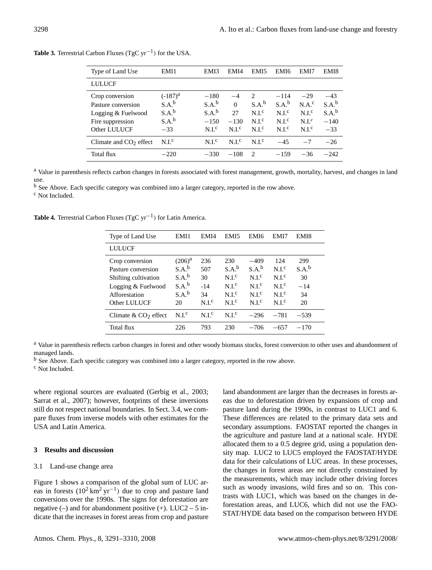| Type of Land Use         | EMI1              | EMI3                     | EMI4                     | EMI5                     | EMI6              | EMI7             | EMI8              |
|--------------------------|-------------------|--------------------------|--------------------------|--------------------------|-------------------|------------------|-------------------|
| <b>LULUCF</b>            |                   |                          |                          |                          |                   |                  |                   |
| Crop conversion          | $(-187)^{a}$      | $-180$                   | $-4$                     | $\mathcal{L}$            | $-114$            | $-29$            | $-43$             |
| Pasture conversion       | S.A. <sup>b</sup> | S.A. <sup>b</sup>        | $\Omega$                 | S.A. <sup>b</sup>        | S.A. <sup>b</sup> | $N.A.^c$         | S.A. <sup>b</sup> |
| Logging & Fuelwood       | S.A. <sup>b</sup> | $S.A.^b$                 | 27                       | N.I <sup>c</sup>         | N.I <sup>c</sup>  | N.I <sup>c</sup> | S.A. <sup>b</sup> |
| Fire suppression         | S.A. <sup>b</sup> | $-150$                   | $-130$                   | N.I <sup>c</sup>         | N.I <sup>c</sup>  | N.I <sup>c</sup> | $-140$            |
| Other LULUCF             | $-33$             | N.I <sup>c</sup>         | N.I <sup>c</sup>         | N.I <sup>c</sup>         | N.I <sup>c</sup>  | N.I <sup>c</sup> | $-33$             |
| Climate and $CO2$ effect | N.I <sup>c</sup>  | $N_{\rm L}$ <sup>c</sup> | $N_{\rm L}$ <sup>c</sup> | $N_{\rm L}$ <sup>c</sup> | $-45$             | $-7$             | $-26$             |
| Total flux               | $-220$            | $-330$                   | $-108$                   | $\mathcal{D}$            | $-159$            | $-36$            | $-242$            |

**Table 3.** Terrestrial Carbon Fluxes (TgC yr−<sup>1</sup> ) for the USA.

<sup>a</sup> Value in parenthesis reflects carbon changes in forests associated with forest management, growth, mortality, harvest, and changes in land use.

<sup>b</sup> See Above. Each specific category was combined into a larger category, reported in the row above.

<sup>c</sup> Not Included.

**Table 4.** Terrestrial Carbon Fluxes (TgC yr−<sup>1</sup> ) for Latin America.

| Type of Land Use       | EMI1              | EMI4                     | EMI5              | EMI6              | EMI7                     | EMI8              |
|------------------------|-------------------|--------------------------|-------------------|-------------------|--------------------------|-------------------|
| <b>LULUCF</b>          |                   |                          |                   |                   |                          |                   |
| Crop conversion        | $(206)^{a}$       | 236                      | 230               | $-409$            | 124                      | 299               |
| Pasture conversion     | S.A. <sup>b</sup> | 507                      | S.A. <sup>b</sup> | S.A. <sup>b</sup> | $N_{\rm L}$ <sup>c</sup> | S.A. <sup>b</sup> |
| Shifting cultivation   | S.A. <sup>b</sup> | 30                       | N.L <sup>c</sup>  | N.I <sup>c</sup>  | N.L <sup>c</sup>         | 30                |
| Logging & Fuelwood     | S.A. <sup>b</sup> | $-14$                    | N.I <sup>c</sup>  | N.I <sup>c</sup>  | $N_{\rm L}$ <sup>c</sup> | $-14$             |
| Afforestation          | S.A. <sup>b</sup> | 34                       | N I <sup>c</sup>  | N.I <sup>c</sup>  | N.L <sup>c</sup>         | 34                |
| Other LULUCF           | 20                | $N_{\rm L}$ <sup>c</sup> | N.I <sup>c</sup>  | N.I <sup>c</sup>  | N.I <sup>c</sup>         | 20                |
| Climate $& CO2$ effect | N.I <sup>c</sup>  | N <sub>L</sub>           | N.I <sup>c</sup>  | $-296$            | $-781$                   | $-539$            |
| Total flux             | 226               | 793                      | 230               | $-706$            | $-657$                   | $-170$            |

<sup>a</sup> Value in parenthesis reflects carbon changes in forest and other woody biomass stocks, forest conversion to other uses and abandonment of managed lands.

<sup>b</sup> See Above. Each specific category was combined into a larger category, reported in the row above.

<sup>c</sup> Not Included.

where regional sources are evaluated (Gerbig et al., 2003; Sarrat et al., 2007); however, footprints of these inversions still do not respect national boundaries. In Sect. 3.4, we compare fluxes from inverse models with other estimates for the USA and Latin America.

# **3 Results and discussion**

# 3.1 Land-use change area

Figure 1 shows a comparison of the global sum of LUC areas in forests  $(10^2 \text{ km}^2 \text{ yr}^{-1})$  due to crop and pasture land conversions over the 1990s. The signs for deforestation are negative  $(-)$  and for abandonment positive  $(+)$ . LUC2 – 5 indicate that the increases in forest areas from crop and pasture land abandonment are larger than the decreases in forests areas due to deforestation driven by expansions of crop and pasture land during the 1990s, in contrast to LUC1 and 6. These differences are related to the primary data sets and secondary assumptions. FAOSTAT reported the changes in the agriculture and pasture land at a national scale. HYDE allocated them to a 0.5 degree grid, using a population density map. LUC2 to LUC5 employed the FAOSTAT/HYDE data for their calculations of LUC areas. In these processes, the changes in forest areas are not directly constrained by the measurements, which may include other driving forces such as woody invasions, wild fires and so on. This contrasts with LUC1, which was based on the changes in deforestation areas, and LUC6, which did not use the FAO-STAT/HYDE data based on the comparison between HYDE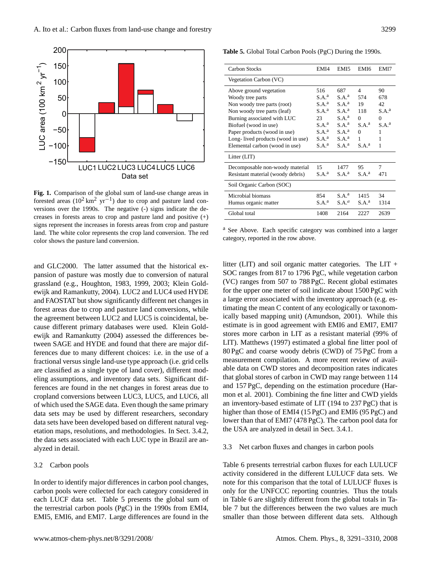

versions over the 1990s. The negative (-) signs indicate the decreases in forests areas to crop and pasture land and positive  $(+)$ signs represent the increases in forests areas from crop and pasture increase in forest areas. The white color represents conversion of forest to or from land. The white color represents the crop land conversion. The red **Fig. 1.** Comparison of the global sum of land-use change areas in forested areas ( $10^2 \text{ km}^2 \text{ yr}^{-1}$ ) due to crop and pasture land concolor shows the pasture land conversion.

and GLC2000. The latter assumed that the historical expansion of pasture was mostly due to conversion of natural grassland (e.g., Houghton, 1983, 1999, 2003; Klein Goldewijk and Ramankutty, 2004). LUC2 and LUC4 used HYDE and FAOSTAT but show significantly different net changes in forest areas due to crop and pasture land conversions, while the agreement between LUC2 and LUC5 is coincidental, because different primary databases were used. Klein Goldewijk and Ramankutty (2004) assessed the differences between SAGE and HYDE and found that there are major differences due to many different choices: i.e. in the use of a fractional versus single land-use type approach (i.e. grid cells are classified as a single type of land cover), different modeling assumptions, and inventory data sets. Significant differences are found in the net changes in forest areas due to cropland conversions between LUC3, LUC5, and LUC6, all of which used the SAGE data. Even though the same primary data sets may be used by different researchers, secondary data sets have been developed based on different natural vegetation maps, resolutions, and methodologies. In Sect. 3.4.2, the data sets associated with each LUC type in Brazil are analyzed in detail.

# 3.2 Carbon pools

In order to identify major differences in carbon pool changes, carbon pools were collected for each category considered in each LUCF data set. Table 5 presents the global sum of the terrestrial carbon pools (PgC) in the 1990s from EMI4, EMI5, EMI6, and EMI7. Large differences are found in the

**Table 5.** Global Total Carbon Pools (PgC) During the 1990s.

| Carbon Stocks                     | EMI4              | EMI5              | EMI6              | EMI7              |
|-----------------------------------|-------------------|-------------------|-------------------|-------------------|
| Vegetation Carbon (VC)            |                   |                   |                   |                   |
| Above ground vegetation           | 516               | 687               | 4                 | 90                |
| Woody tree parts                  | $S.A.^a$          | $S \wedge a$      | 574               | 678               |
| Non woody tree parts (root)       | S.A. <sup>a</sup> | S.A. <sup>a</sup> | 19                | 42                |
| Non woody tree parts (leaf)       | $S.A.^a$          | S.A. <sup>a</sup> | 118               | S.A. <sup>a</sup> |
| Burning associated with LUC       | 23                | S.A. <sup>a</sup> | $\Omega$          | $\Omega$          |
| Biofuel (wood in use)             | $S.A.^a$          | $S.A.^a$          | $S.A.^a$          | S.A. <sup>a</sup> |
| Paper products (wood in use)      | $S.A.^a$          | $S \wedge a$      | $\Omega$          | 1                 |
| Long-lived products (wood in use) | S.A. <sup>a</sup> | S.A. <sup>a</sup> | 1                 | 1                 |
| Elemental carbon (wood in use)    | $S.A.^a$          | S.A. <sup>a</sup> | S.A. <sup>a</sup> | 1                 |
| Litter (LIT)                      |                   |                   |                   |                   |
| Decomposable non-woody material   | 15                | 1477              | 95                | 7                 |
| Resistant material (woody debris) | S.A. <sup>a</sup> | S.A. <sup>a</sup> | S.A. <sup>a</sup> | 471               |
| Soil Organic Carbon (SOC)         |                   |                   |                   |                   |
| Microbial biomass                 | 854               | $S \wedge a$      | 1415              | 34                |
| Humus organic matter              | S.A. <sup>a</sup> | S.A. <sup>a</sup> | S A <sup>a</sup>  | 1314              |
| Global total                      | 1408              | 2164              | 2227              | 2639              |
|                                   |                   |                   |                   |                   |

<sup>a</sup> See Above. Each specific category was combined into a larger category, reported in the row above.

litter (LIT) and soil organic matter categories. The LIT + SOC ranges from 817 to 1796 PgC, while vegetation carbon (VC) ranges from 507 to 788 PgC. Recent global estimates for the upper one meter of soil indicate about 1500 PgC with a large error associated with the inventory approach (e.g. estimating the mean C content of any ecologically or taxonomically based mapping unit) (Amundson, 2001). While this estimate is in good agreement with EMI6 and EMI7, EMI7 stores more carbon in LIT as a resistant material (99% of LIT). Matthews (1997) estimated a global fine litter pool of 80 PgC and coarse woody debris (CWD) of 75 PgC from a measurement compilation. A more recent review of available data on CWD stores and decomposition rates indicates that global stores of carbon in CWD may range between 114 and 157 PgC, depending on the estimation procedure (Harmon et al. 2001). Combining the fine litter and CWD yields an inventory-based estimate of LIT (194 to 237 PgC) that is higher than those of EMI4 (15 PgC) and EMI6 (95 PgC) and lower than that of EMI7 (478 PgC). The carbon pool data for the USA are analyzed in detail in Sect. 3.4.1.

#### 3.3 Net carbon fluxes and changes in carbon pools

Table 6 presents terrestrial carbon fluxes for each LULUCF activity considered in the different LULUCF data sets. We note for this comparison that the total of LULUCF fluxes is only for the UNFCCC reporting countries. Thus the totals in Table 6 are slightly different from the global totals in Table 7 but the differences between the two values are much smaller than those between different data sets. Although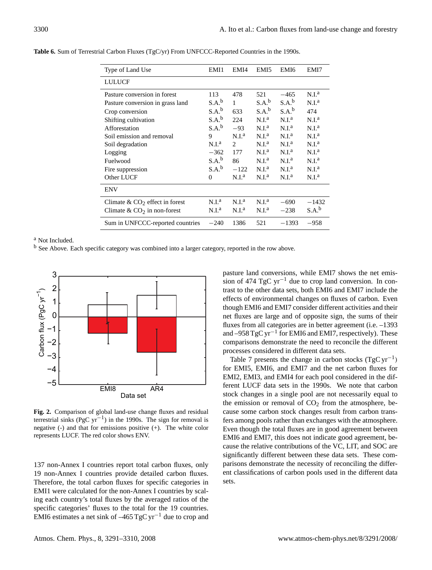| EMI1              | EMI4              | EMI5              | EMI6              | EMI7              |
|-------------------|-------------------|-------------------|-------------------|-------------------|
|                   |                   |                   |                   |                   |
| 113               | 478               | 521               | $-465$            | $N.I^a$           |
| S.A. <sup>b</sup> | 1                 | S.A. <sup>b</sup> | S.A. <sup>b</sup> | $N.I^a$           |
| S.A. <sup>b</sup> | 633               | S.A. <sup>b</sup> | S.A. <sup>b</sup> | 474               |
| S.A. <sup>b</sup> | 224               | N.I. <sup>a</sup> | N.I. <sup>a</sup> | $N.I^a$           |
| S.A. <sup>b</sup> | $-93$             | N.I. <sup>a</sup> | N.I. <sup>a</sup> | $N.I^a$           |
| 9                 | N.I. <sup>a</sup> | $N.I^a$           | $N.I^a$           | $N.I^a$           |
| $N.I^a$           | $\mathfrak{D}$    | $N.I^a$           | $N.I^a$           | $N.I^a$           |
| $-362$            | 177               | $N.I^a$           | N.I. <sup>a</sup> | $N.I^a$           |
| $S.A.^b$          | 86                | N.I. <sup>a</sup> | N.I. <sup>a</sup> | $N.I^a$           |
| S.A. <sup>b</sup> | $-122$            | N.I. <sup>a</sup> | N.I. <sup>a</sup> | $N.I^a$           |
| $\Omega$          | N.I. <sup>a</sup> | N.I. <sup>a</sup> | N.I. <sup>a</sup> | N.I. <sup>a</sup> |
|                   |                   |                   |                   |                   |
| $N.I^a$           | $N.I^a$           | $N.I^a$           | $-690$            | $-1432$           |
| N.I. <sup>a</sup> | $N.I^a$           | $N.I^a$           | $-238$            | $S.A.^b$          |
| $-240$            | 1386              | 521               | $-1393$           | $-958$            |
|                   |                   |                   |                   |                   |

**Table 6.** Sum of Terrestrial Carbon Fluxes (TgC/yr) From UNFCCC-Reported Countries in the 1990s.

<sup>a</sup> Not Included.

<sup>b</sup> See Above. Each specific category was combined into a larger category, reported in the row above.



Fig. 2. Comparison of global land-use change fluxes and residual terrestrial sinks (PgC yr<sup>-1</sup>) in the 1990s. The sign for removal is negative  $(-)$  and that for emissions positive  $(+)$ . The white color represents LUCF. The red color shows ENV.

137 non-Annex I countries report total carbon fluxes, only 19 non-Annex I countries provide detailed carbon fluxes. Therefore, the total carbon fluxes for specific categories in EMI1 were calculated for the non-Annex I countries by scaling each country's total fluxes by the averaged ratios of the specific categories' fluxes to the total for the 19 countries. EMI6 estimates a net sink of  $-465$  TgC yr<sup>-1</sup> due to crop and pasture land conversions, while EMI7 shows the net emission of 474 TgC  $yr^{-1}$  due to crop land conversion. In contrast to the other data sets, both EMI6 and EMI7 include the effects of environmental changes on fluxes of carbon. Even though EMI6 and EMI7 consider different activities and their net fluxes are large and of opposite sign, the sums of their fluxes from all categories are in better agreement (i.e.  $-1393$ ) and –958 TgC yr−<sup>1</sup> for EMI6 and EMI7, respectively). These comparisons demonstrate the need to reconcile the different processes considered in different data sets.

Table 7 presents the change in carbon stocks  $(TgCyr^{-1})$ for EMI5, EMI6, and EMI7 and the net carbon fluxes for EMI2, EMI3, and EMI4 for each pool considered in the different LUCF data sets in the 1990s. We note that carbon stock changes in a single pool are not necessarily equal to the emission or removal of  $CO<sub>2</sub>$  from the atmosphere, because some carbon stock changes result from carbon transfers among pools rather than exchanges with the atmosphere. Even though the total fluxes are in good agreement between EMI6 and EMI7, this does not indicate good agreement, because the relative contributions of the VC, LIT, and SOC are significantly different between these data sets. These comparisons demonstrate the necessity of reconciling the different classifications of carbon pools used in the different data sets.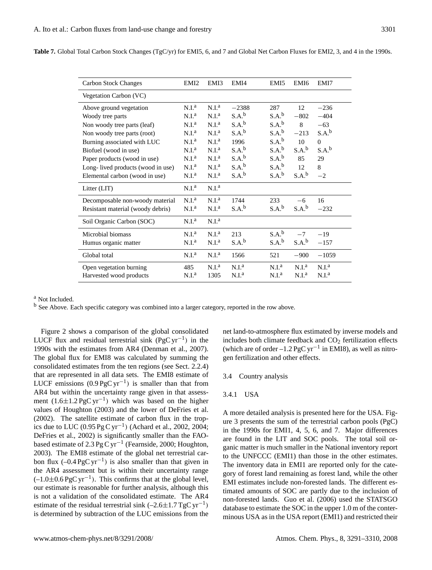| <b>Carbon Stock Changes</b>       | EMI2              | EMI3              | EMI4              | EMI5              | EMI <sub>6</sub>  | EMI7              |
|-----------------------------------|-------------------|-------------------|-------------------|-------------------|-------------------|-------------------|
| Vegetation Carbon (VC)            |                   |                   |                   |                   |                   |                   |
| Above ground vegetation           | $N.I^a$           | N.I. <sup>a</sup> | $-2388$           | 287               | 12                | $-236$            |
| Woody tree parts                  | N.I. <sup>a</sup> | N.I. <sup>a</sup> | S.A. <sup>b</sup> | S.A. <sup>b</sup> | $-802$            | $-404$            |
| Non woody tree parts (leaf)       | N.I. <sup>a</sup> | N.I. <sup>a</sup> | S.A. <sup>b</sup> | S.A. <sup>b</sup> | 8                 | $-63$             |
| Non woody tree parts (root)       | N.I. <sup>a</sup> | N.I. <sup>a</sup> | S.A. <sup>b</sup> | S.A. <sup>b</sup> | $-213$            | S.A. <sup>b</sup> |
| Burning associated with LUC       | $N.I^a$           | N.I. <sup>a</sup> | 1996              | S.A. <sup>b</sup> | 10                | $\Omega$          |
| Biofuel (wood in use)             | $N.I^a$           | N.I. <sup>a</sup> | S.A. <sup>b</sup> | S.A. <sup>b</sup> | S.A. <sup>b</sup> | S.A. <sup>b</sup> |
| Paper products (wood in use)      | $N.I.^a$          | N.I. <sup>a</sup> | S.A. <sup>b</sup> | S.A. <sup>b</sup> | 85                | 29                |
| Long-lived products (wood in use) | N.I. <sup>a</sup> | N.I. <sup>a</sup> | S.A. <sup>b</sup> | S.A. <sup>b</sup> | 12                | 8                 |
| Elemental carbon (wood in use)    | N.I. <sup>a</sup> | N.I. <sup>a</sup> | S.A. <sup>b</sup> | S.A. <sup>b</sup> | S.A. <sup>b</sup> | $-2$              |
| Litter (LIT)                      | N.I. <sup>a</sup> | N.I. <sup>a</sup> |                   |                   |                   |                   |
| Decomposable non-woody material   | $N.I^a$           | $N.I^a$           | 1744              | 233               | $-6$              | 16                |
| Resistant material (woody debris) | N.I. <sup>a</sup> | N.I. <sup>a</sup> | S.A. <sup>b</sup> | S.A. <sup>b</sup> | S.A. <sup>b</sup> | $-232$            |
| Soil Organic Carbon (SOC)         | $N.I^a$           | N.I. <sup>a</sup> |                   |                   |                   |                   |
| Microbial biomass                 | $N.I.^a$          | N.I. <sup>a</sup> | 213               | S.A. <sup>b</sup> | $-7$              | $-19$             |
| Humus organic matter              | $N.I.^a$          | N.I. <sup>a</sup> | S.A. <sup>b</sup> | S.A. <sup>b</sup> | S.A. <sup>b</sup> | $-157$            |
| Global total                      | $N.I.^a$          | N.I. <sup>a</sup> | 1566              | 521               | $-900$            | $-1059$           |
| Open vegetation burning           | 485               | N.I. <sup>a</sup> | N.I. <sup>a</sup> | N.I. <sup>a</sup> | N.I. <sup>a</sup> | N.I. <sup>a</sup> |
| Harvested wood products           | $N.I.^a$          | 1305              | $N.I.^a$          | $N.I.^a$          | N.I. <sup>a</sup> | N.I. <sup>a</sup> |

|  |  |  |  | Table 7. Global Total Carbon Stock Changes (TgC/yr) for EMI5, 6, and 7 and Global Net Carbon Fluxes for EMI2, 3, and 4 in the 1990s. |
|--|--|--|--|--------------------------------------------------------------------------------------------------------------------------------------|
|--|--|--|--|--------------------------------------------------------------------------------------------------------------------------------------|

<sup>a</sup> Not Included.

<sup>b</sup> See Above. Each specific category was combined into a larger category, reported in the row above.

Figure 2 shows a comparison of the global consolidated LUCF flux and residual terrestrial sink (PgC yr<sup>-1</sup>) in the 1990s with the estimates from AR4 (Denman et al., 2007). The global flux for EMI8 was calculated by summing the consolidated estimates from the ten regions (see Sect. 2.2.4) that are represented in all data sets. The EMI8 estimate of LUCF emissions  $(0.9 \text{ PgC yr}^{-1})$  is smaller than that from AR4 but within the uncertainty range given in that assessment  $(1.6 \pm 1.2 \,\text{PgC yr}^{-1})$  which was based on the higher values of Houghton (2003) and the lower of DeFries et al. (2002). The satellite estimate of carbon flux in the tropics due to LUC (0.95 Pg C yr<sup>-1</sup>) (Achard et al., 2002, 2004; DeFries et al., 2002) is significantly smaller than the FAObased estimate of 2.3 Pg C yr<sup>-1</sup> (Fearnside, 2000; Houghton, 2003). The EMI8 estimate of the global net terrestrial carbon flux  $(-0.4 \text{PgC yr}^{-1})$  is also smaller than that given in the AR4 assessment but is within their uncertainty range (–1.0±0.6 PgC yr−<sup>1</sup> ). This confirms that at the global level, our estimate is reasonable for further analysis, although this is not a validation of the consolidated estimate. The AR4 estimate of the residual terrestrial sink  $(-2.6 \pm 1.7$  TgC yr<sup>-1</sup>) is determined by subtraction of the LUC emissions from the

net land-to-atmosphere flux estimated by inverse models and includes both climate feedback and  $CO<sub>2</sub>$  fertilization effects (which are of order  $-1.2$  PgC yr<sup>-1</sup> in EMI8), as well as nitrogen fertilization and other effects.

# 3.4 Country analysis

## 3.4.1 USA

A more detailed analysis is presented here for the USA. Figure 3 presents the sum of the terrestrial carbon pools (PgC) in the 1990s for EMI1, 4, 5, 6, and 7. Major differences are found in the LIT and SOC pools. The total soil organic matter is much smaller in the National inventory report to the UNFCCC (EMI1) than those in the other estimates. The inventory data in EMI1 are reported only for the category of forest land remaining as forest land, while the other EMI estimates include non-forested lands. The different estimated amounts of SOC are partly due to the inclusion of non-forested lands. Guo et al. (2006) used the STATSGO database to estimate the SOC in the upper 1.0 m of the conterminous USA as in the USA report (EMI1) and restricted their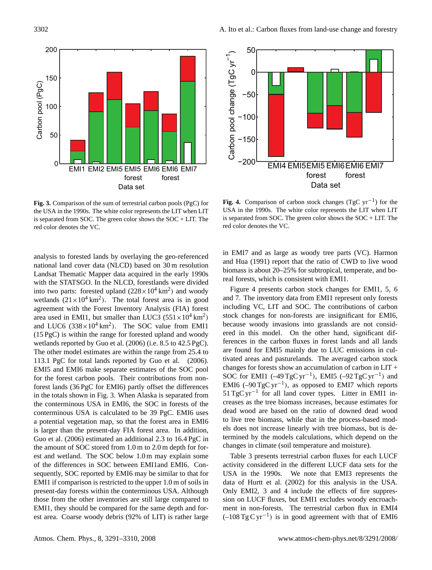

**Fig. 3.** Comparison of the sum of terrestrial carbon pools (PgC) for the USA in the 1990s. The white color represents the LIT when LIT incording the Society of the winter color depresents the ECT. When ETT is separated from SOC. The green color shows the SOC + LIT. The

red color denotes the VC.

 $-100$ 

 $-150$ 



Figure 4. Comparison of carbon stock changes (TgC yr-1) for the 1990s. The 1990s in the 1990s. is separated from SOC. The green color shows the  $SOC + LIT$ . The red color denotes the VC. **Fig. 4.** Comparison of carbon stock changes (TgC yr−<sup>1</sup> ) for the USA in the 1990s. The white color represents the LIT when LIT

in EMI7 and as large as woody tree parts (VC). Harmon and Hua (1991) report that the ratio of CWD to live wood biomass is about 20–25% for subtropical, temperate, and bo-

real forests, which is consistent with EMI1.

Figure 4 presents carbon stock changes for EMI1, 5, 6 and 7. The inventory data from EMI1 represent only forests including VC, LIT and SOC. The contributions of carbon stock changes for non-forests are insignificant for EMI6, because woody invasions into grasslands are not considered in this model. On the other hand, significant differences in the carbon fluxes in forest lands and all lands are found for EMI5 mainly due to LUC emissions in cultivated areas and pasturelands. The averaged carbon stock changes for forests show an accumulation of carbon in LIT + SOC for EMI1  $(-49 \text{ TgC yr}^{-1})$ , EMI5  $(-92 \text{ TgC yr}^{-1})$  and EMI6 (-90 TgC yr<sup>-1</sup>), as opposed to EMI7 which reports 51 TgC yr−<sup>1</sup> for all land cover types. Litter in EMI1 increases as the tree biomass increases, because estimates for dead wood are based on the ratio of downed dead wood to live tree biomass, while that in the process-based models does not increase linearly with tree biomass, but is determined by the models calculations, which depend on the changes in climate (soil temperature and moisture).

Table 3 presents terrestrial carbon fluxes for each LUCF activity considered in the different LUCF data sets for the USA in the 1990s. We note that EMI3 represents the data of Hurtt et al. (2002) for this analysis in the USA. Only EMI2, 3 and 4 include the effects of fire suppression on LUCF fluxes, but EMI1 excludes woody encroachment in non-forests. The terrestrial carbon flux in EMI4  $(-108 \text{ Tg C yr}^{-1})$  is in good agreement with that of EMI6

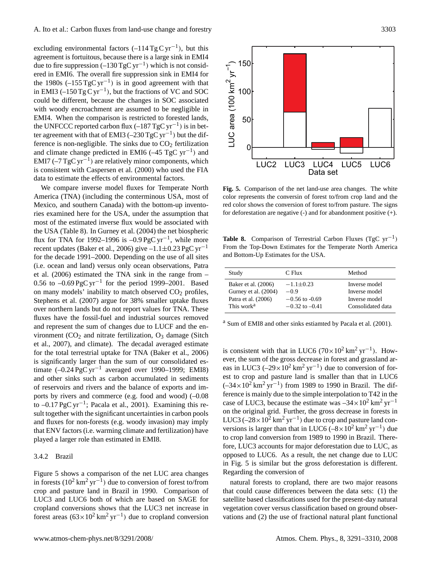excluding environmental factors  $(-114 \text{ Tg C yr}^{-1})$ , but this agreement is fortuitous, because there is a large sink in EMI4 due to fire suppression  $(-130 \text{ TgC yr}^{-1})$  which is not considered in EMI6. The overall fire suppression sink in EMI4 for the 1980s  $(-155 \text{ TgC yr}^{-1})$  is in good agreement with that in EMI3 ( $-150$  Tg C yr<sup>-1</sup>), but the fractions of VC and SOC could be different, because the changes in SOC associated with woody encroachment are assumed to be negligible in EMI4. When the comparison is restricted to forested lands, the UNFCCC reported carbon flux  $(-187 \text{ TgC yr}^{-1})$  is in better agreement with that of EMI3 (–230 TgC yr<sup>-1</sup>) but the difference is non-negligible. The sinks due to  $CO<sub>2</sub>$  fertilization and climate change predicted in EMI6 ( $-45$  TgC yr<sup>-1</sup>) and EMI7 ( $-7$  TgC yr<sup>-1</sup>) are relatively minor components, which is consistent with Caspersen et al. (2000) who used the FIA data to estimate the effects of environmental factors.

We compare inverse model fluxes for Temperate North America (TNA) (including the conterminous USA, most of Mexico, and southern Canada) with the bottom-up inventories examined here for the USA, under the assumption that most of the estimated inverse flux would be associated with the USA (Table 8). In Gurney et al. (2004) the net biospheric flux for TNA for 1992–1996 is  $-0.9$  PgC yr<sup>-1</sup>, while more recent updates (Baker et al., 2006) give –1.1 $\pm$ 0.23 PgC yr<sup>-1</sup> for the decade 1991–2000. Depending on the use of all sites (i.e. ocean and land) versus only ocean observations, Patra et al. (2006) estimated the TNA sink in the range from – 0.56 to  $-0.69 \,\mathrm{PgC \,yr^{-1}}$  for the period 1999–2001. Based on many models' inability to match observed  $CO<sub>2</sub>$  profiles, Stephens et al. (2007) argue for 38% smaller uptake fluxes over northern lands but do not report values for TNA. These fluxes have the fossil-fuel and industrial sources removed and represent the sum of changes due to LUCF and the environment  $(CO<sub>2</sub>$  and nitrate fertilization,  $O<sub>3</sub>$  damage (Sitch et al., 2007), and climate). The decadal averaged estimate for the total terrestrial uptake for TNA (Baker et al., 2006) is significantly larger than the sum of our consolidated estimate  $(-0.24 \,\text{PgC yr}^{-1}$  averaged over 1990–1999; EMI8) and other sinks such as carbon accumulated in sediments of reservoirs and rivers and the balance of exports and imports by rivers and commerce (e.g. food and wood) (–0.08 to –0.17 PgC yr−<sup>1</sup> ; Pacala et al., 2001). Examining this result together with the significant uncertainties in carbon pools and fluxes for non-forests (e.g. woody invasion) may imply that ENV factors (i.e. warming climate and fertilization) have played a larger role than estimated in EMI8.

# 3.4.2 Brazil

Figure 5 shows a comparison of the net LUC area changes in forests ( $10^2 \text{ km}^2 \text{ yr}^{-1}$ ) due to conversion of forest to/from crop and pasture land in Brazil in 1990. Comparison of LUC3 and LUC6 both of which are based on SAGE for cropland conversions shows that the LUC3 net increase in forest areas  $(63 \times 10^2 \text{ km}^2 \text{ yr}^{-1})$  due to cropland conversion



red color shows the conversion of forest to/from pasture. The signs  $\epsilon$ for deforestation are negative  $\left(\text{-}\right)$  and for abandonment positive  $\left(\text{+}\right)$ . **Fig. 5.** Comparison of the net land-use area changes. The white color represents the conversin of forest to/from crop land and the

Table 8. Comparison of Terrestrial Carbon Fluxes (TgC yr<sup>-1</sup>) From the Top-Down Estimates for the Temperate North America and Bottom-Up Estimates for the USA.

| Study                  | $C$ Flux           | Method            |
|------------------------|--------------------|-------------------|
| Baker et al. (2006)    | $-1.1 \pm 0.23$    | Inverse model     |
| Gurney et al. (2004)   | $-0.9$             | Inverse model     |
| Patra et al. (2006)    | $-0.56$ to $-0.69$ | Inverse model     |
| This work <sup>a</sup> | $-0.32$ to $-0.41$ | Consolidated data |

<sup>a</sup> Sum of EMI8 and other sinks estiamted by Pacala et al. (2001).

is consistent with that in LUC6 ( $70 \times 10^2$  km<sup>2</sup> yr<sup>-1</sup>). However, the sum of the gross decrease in forest and grassland areas in LUC3 ( $-29 \times 10^2$  km<sup>2</sup> yr<sup>-1</sup>) due to conversion of forest to crop and pasture land is smaller than that in LUC6  $(-34 \times 10^{2} \text{ km}^{2} \text{ yr}^{-1})$  from 1989 to 1990 in Brazil. The difference is mainly due to the simple interpolation to T42 in the case of LUC3, because the estimate was  $-34 \times 10^2$  km<sup>2</sup> yr<sup>-1</sup> on the original grid. Further, the gross decrease in forests in LUC3 ( $-28 \times 10^2$  km<sup>2</sup> yr<sup>-1</sup>) due to crop and pasture land conversions is larger than that in LUC6 ( $-8 \times 10^2$  km<sup>2</sup> yr<sup>-1</sup>) due to crop land conversion from 1989 to 1990 in Brazil. Therefore, LUC3 accounts for major deforestation due to LUC, as opposed to LUC6. As a result, the net change due to LUC in Fig. 5 is similar but the gross deforestation is different. Regarding the conversion of

natural forests to cropland, there are two major reasons that could cause differences between the data sets: (1) the satellite based classifications used for the present-day natural vegetation cover versus classification based on ground observations and (2) the use of fractional natural plant functional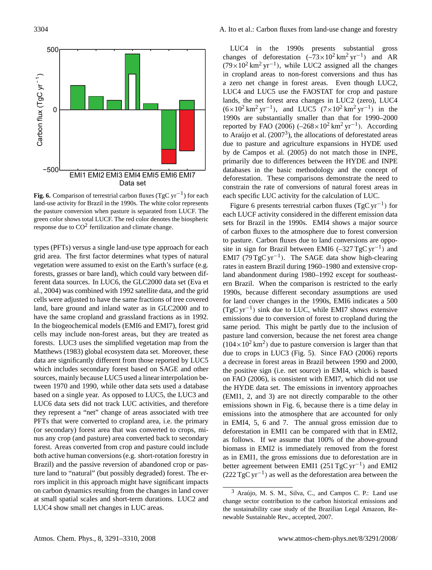

**Fig. 6.** Comparison of terrestrial carbon fluxes (TgC yr<sup>-1</sup>) for each land-use activity for Brazil in the 1990s. The white color represents the pasture conversion when pasture is separated from LUCF. The green color shows total LUCF. The red color denotes the biospheric response due to  $CO<sup>2</sup>$  fertilization and climate change.

types (PFTs) versus a single land-use type approach for each grid area. The first factor determines what types of natural vegetation were assumed to exist on the Earth's surface (e.g. forests, grasses or bare land), which could vary between different data sources. In LUC6, the GLC2000 data set (Eva et al., 2004) was combined with 1992 satellite data, and the grid cells were adjusted to have the same fractions of tree covered land, bare ground and inland water as in GLC2000 and to have the same cropland and grassland fractions as in 1992. In the biogeochemical models (EMI6 and EMI7), forest grid cells may include non-forest areas, but they are treated as forests. LUC3 uses the simplified vegetation map from the Matthews (1983) global ecosystem data set. Moreover, these data are significantly different from those reported by LUC5 which includes secondary forest based on SAGE and other sources, mainly because LUC5 used a linear interpolation between 1970 and 1990, while other data sets used a database based on a single year. As opposed to LUC5, the LUC3 and LUC6 data sets did not track LUC activities, and therefore they represent a "net" change of areas associated with tree PFTs that were converted to cropland area, i.e. the primary (or secondary) forest area that was converted to crops, minus any crop (and pasture) area converted back to secondary forest. Areas converted from crop and pasture could include both active human conversions (e.g. short-rotation forestry in Brazil) and the passive reversion of abandoned crop or pasture land to "natural" (but possibly degraded) forest. The errors implicit in this approach might have significant impacts on carbon dynamics resulting from the changes in land cover at small spatial scales and short-term durations. LUC2 and LUC4 show small net changes in LUC areas.

LUC4 in the 1990s presents substantial gross changes of deforestation  $(-73 \times 10^2 \text{ km}^2 \text{ yr}^{-1})$  and AR  $(79 \times 10^{2} \text{ km}^{2} \text{ yr}^{-1})$ , while LUC2 assigned all the changes in cropland areas to non-forest conversions and thus has a zero net change in forest areas. Even though LUC2, LUC4 and LUC5 use the FAOSTAT for crop and pasture lands, the net forest area changes in LUC2 (zero), LUC4  $(6 \times 10^2 \text{ km}^2 \text{ yr}^{-1})$ , and LUC5  $(7 \times 10^2 \text{ km}^2 \text{ yr}^{-1})$  in the 1990s are substantially smaller than that for 1990–2000 reported by FAO (2006) ( $-268 \times 10^2$  km<sup>2</sup> yr<sup>-1</sup>). According to Araújo et al.  $(2007<sup>3</sup>)$  $(2007<sup>3</sup>)$  $(2007<sup>3</sup>)$ , the allocations of deforestated areas due to pasture and agriculture expansions in HYDE used by de Campos et al. (2005) do not match those in INPE, primarily due to differences between the HYDE and INPE databases in the basic methodology and the concept of deforestation. These comparisons demonstrate the need to constrain the rate of conversions of natural forest areas in each specific LUC activity for the calculation of LUC.

Figure 6 presents terrestrial carbon fluxes  $(TgCyr^{-1})$  for each LUCF activity considered in the different emission data sets for Brazil in the 1990s. EMI4 shows a major source of carbon fluxes to the atmosphere due to forest conversion to pasture. Carbon fluxes due to land conversions are opposite in sign for Brazil between EMI6 (–327 TgC yr−<sup>1</sup> ) and EMI7 (79 TgC yr−<sup>1</sup> ). The SAGE data show high-clearing rates in eastern Brazil during 1960–1980 and extensive cropland abandonment during 1980–1992 except for southeastern Brazil. When the comparison is restricted to the early 1990s, because different secondary assumptions are used for land cover changes in the 1990s, EMI6 indicates a 500  $(TgCyr^{-1})$  sink due to LUC, while EMI7 shows extensive emissions due to conversion of forest to cropland during the same period. This might be partly due to the inclusion of pasture land conversion, because the net forest area change  $(104 \times 10^2 \text{ km}^2)$  due to pasture conversion is larger than that due to crops in LUC3 (Fig. 5). Since FAO (2006) reports a decrease in forest areas in Brazil between 1990 and 2000, the positive sign (i.e. net source) in EMI4, which is based on FAO (2006), is consistent with EMI7, which did not use the HYDE data set. The emissions in inventory approaches (EMI1, 2, and 3) are not directly comparable to the other emissions shown in Fig. 6, because there is a time delay in emissions into the atmosphere that are accounted for only in EMI4, 5, 6 and 7. The annual gross emission due to deforestation in EMI1 can be compared with that in EMI2, as follows. If we assume that 100% of the above-ground biomass in EMI2 is immediately removed from the forest as in EMI1, the gross emissions due to deforestation are in better agreement between EMI1 (251 TgC yr−<sup>1</sup> ) and EMI2  $(222 \text{ TgC yr}^{-1})$  as well as the deforestation area between the

<span id="page-13-0"></span><sup>&</sup>lt;sup>3</sup> Araújo, M. S. M., Silva, C., and Campos C. P.: Land use change sector contribution to the carbon historical emissions and the sustainability case study of the Brazilian Legal Amazon, Renewable Sustainable Rev., accepted, 2007.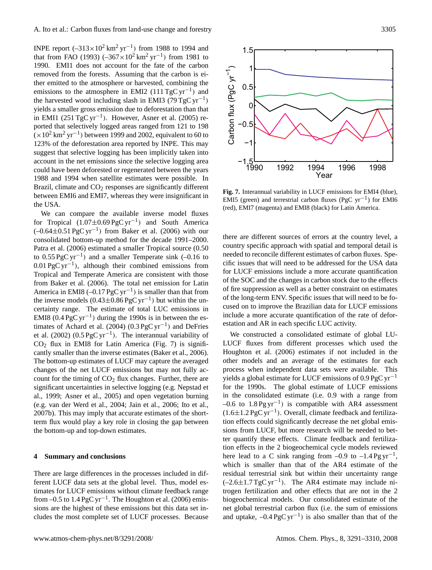INPE report  $(-313 \times 10^2 \text{ km}^2 \text{ yr}^{-1})$  from 1988 to 1994 and that from FAO (1993)  $(-367 \times 10^{2} \text{ km}^{2} \text{ yr}^{-1})$  from 1981 to 1990. EMI1 does not account for the fate of the carbon removed from the forests. Assuming that the carbon is either emitted to the atmosphere or harvested, combining the emissions to the atmosphere in EMI2 (111 TgC  $yr^{-1}$ ) and the harvested wood including slash in EMI3 (79 TgC yr<sup>-1</sup>) yields a smaller gross emission due to deforestation than that in EMI1 (251 TgC yr<sup>-1</sup>). However, Asner et al. (2005) reported that selectively logged areas ranged from 121 to 198  $(\times 10^2 \text{ km}^2 \text{ yr}^{-1})$  between 1999 and 2002, equivalent to 60 to 123% of the deforestation area reported by INPE. This may suggest that selective logging has been implicitly taken into account in the net emissions since the selective logging area could have been deforested or regenerated between the years 1988 and 1994 when satellite estimates were possible. In Brazil, climate and  $CO<sub>2</sub>$  responses are significantly different between EMI6 and EMI7, whereas they were insignificant in the USA.

We can compare the available inverse model fluxes for Tropical  $(1.07 \pm 0.69 \,\text{PgC yr}^{-1})$  and South America  $(-0.64\pm0.51$  PgC yr<sup>-1</sup>) from Baker et al. (2006) with our consolidated bottom-up method for the decade 1991–2000. Patra et al. (2006) estimated a smaller Tropical source (0.50 to  $0.55 \,\mathrm{PgC \,yr^{-1}}$  and a smaller Temperate sink (-0.16 to  $0.01 \text{ PgC yr}^{-1}$ ), although their combined emissions from Tropical and Temperate America are consistent with those from Baker et al. (2006). The total net emission for Latin America in EMI8 (-0.17 PgC yr<sup>-1</sup>) is smaller than that from the inverse models  $(0.43\pm 0.86 \,\text{PgC yr}^{-1})$  but within the uncertainty range. The estimate of total LUC emissions in EMI8 (0.4 PgC yr<sup>-1</sup>) during the 1990s is in between the estimates of Achard et al. (2004) (0.3 PgC yr<sup>-1</sup>) and DeFries et al. (2002) (0.5 PgC yr<sup>-1</sup>). The interannual variability of  $CO<sub>2</sub>$  flux in EMI8 for Latin America (Fig. 7) is significantly smaller than the inverse estimates (Baker et al., 2006). The bottom-up estimates of LUCF may capture the averaged changes of the net LUCF emissions but may not fully account for the timing of  $CO<sub>2</sub>$  flux changes. Further, there are significant uncertainties in selective logging (e.g. Nepstad et al., 1999; Asner et al., 2005) and open vegetation burning (e.g. van der Werd et al., 2004; Jain et al., 2006; Ito et al., 2007b). This may imply that accurate estimates of the shortterm flux would play a key role in closing the gap between the bottom-up and top-down estimates.

#### **4 Summary and conclusions**

There are large differences in the processes included in different LUCF data sets at the global level. Thus, model estimates for LUCF emissions without climate feedback range from  $-0.5$  to  $1.4$  PgC yr<sup>-1</sup>. The Houghton et al. (2006) emissions are the highest of these emissions but this data set includes the most complete set of LUCF processes. Because



**Fig. 7.** Interannual variability in LUCF emissions for EMI4 (blue), EMI5 (green) and terrestrial carbon fluxes (PgC yr−<sup>1</sup> ) for EMI6 (red), EMI7 (magenta) and EMI8 (black) for Latin America.

there are different sources of errors at the country level, a country specific approach with spatial and temporal detail is needed to reconcile different estimates of carbon fluxes. Specific issues that will need to be addressed for the USA data for LUCF emissions include a more accurate quantification of the SOC and the changes in carbon stock due to the effects of fire suppression as well as a better constraint on estimates of the long-term ENV. Specific issues that will need to be focused on to improve the Brazilian data for LUCF emissions include a more accurate quantification of the rate of deforestation and AR in each specific LUC activity.

We constructed a consolidated estimate of global LU-LUCF fluxes from different processes which used the Houghton et al. (2006) estimates if not included in the other models and an average of the estimates for each process when independent data sets were available. This yields a global estimate for LUCF emissions of  $0.9$  PgC yr<sup>-1</sup> for the 1990s. The global estimate of LUCF emissions in the consolidated estimate (i.e. 0.9 with a range from  $-0.6$  to  $1.8 \text{Pg yr}^{-1}$ ) is compatible with AR4 assessment (1.6±1.2 PgC yr−<sup>1</sup> ). Overall, climate feedback and fertilization effects could significantly decrease the net global emissions from LUCF, but more research will be needed to better quantify these effects. Climate feedback and fertilization effects in the 2 biogeochemical cycle models reviewed here lead to a C sink ranging from  $-0.9$  to  $-1.4$  Pg yr<sup>-1</sup>, which is smaller than that of the AR4 estimate of the residual terrestrial sink but within their uncertainty range (–2.6±1.7 TgC yr−<sup>1</sup> ). The AR4 estimate may include nitrogen fertilization and other effects that are not in the 2 biogeochemical models. Our consolidated estimate of the net global terrestrial carbon flux (i.e. the sum of emissions and uptake,  $-0.4 \text{PgC yr}^{-1}$ ) is also smaller than that of the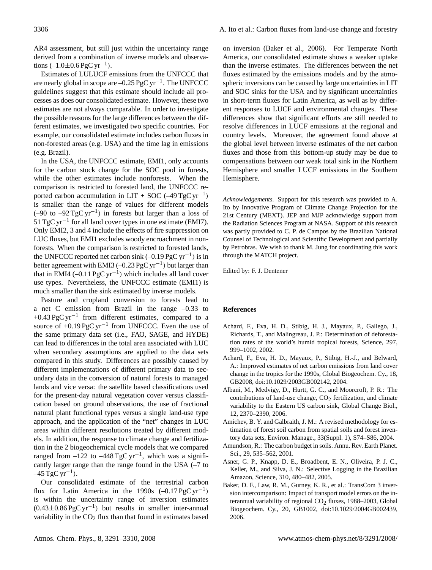AR4 assessment, but still just within the uncertainty range derived from a combination of inverse models and observations  $(-1.0 \pm 0.6$  PgC yr<sup>-1</sup>).

Estimates of LULUCF emissions from the UNFCCC that are nearly global in scope are –0.25 PgC yr<sup>-1</sup>. The UNFCCC guidelines suggest that this estimate should include all processes as does our consolidated estimate. However, these two estimates are not always comparable. In order to investigate the possible reasons for the large differences between the different estimates, we investigated two specific countries. For example, our consolidated estimate includes carbon fluxes in non-forested areas (e.g. USA) and the time lag in emissions (e.g. Brazil).

In the USA, the UNFCCC estimate, EMI1, only accounts for the carbon stock change for the SOC pool in forests, while the other estimates include nonforests. When the comparison is restricted to forested land, the UNFCCC reported carbon accumulation in LIT + SOC  $(-49 \text{ TgC yr}^{-1})$ is smaller than the range of values for different models (-90 to -92 TgC yr<sup>-1</sup>) in forests but larger than a loss of 51 TgC yr<sup>-1</sup> for all land cover types in one estimate (EMI7). Only EMI2, 3 and 4 include the effects of fire suppression on LUC fluxes, but EMI1 excludes woody encroachment in nonforests. When the comparison is restricted to forested lands, the UNFCCC reported net carbon sink  $(-0.19 \text{ PgC yr}^{-1})$  is in better agreement with EMI3 (–0.23 PgC yr−<sup>1</sup> ) but larger than that in EMI4 (-0.11 PgC yr<sup>-1</sup>) which includes all land cover use types. Nevertheless, the UNFCCC estimate (EMI1) is much smaller than the sink estimated by inverse models.

Pasture and cropland conversion to forests lead to a net C emission from Brazil in the range –0.33 to +0.43 PgC yr−<sup>1</sup> from different estimates, compared to a source of +0.19 PgC yr<sup>-1</sup> from UNFCCC. Even the use of the same primary data set (i.e., FAO, SAGE, and HYDE) can lead to differences in the total area associated with LUC when secondary assumptions are applied to the data sets compared in this study. Differences are possibly caused by different implementations of different primary data to secondary data in the conversion of natural forests to managed lands and vice versa: the satellite based classifications used for the present-day natural vegetation cover versus classification based on ground observations, the use of fractional natural plant functional types versus a single land-use type approach, and the application of the "net" changes in LUC areas within different resolutions treated by different models. In addition, the response to climate change and fertilization in the 2 biogeochemical cycle models that we compared ranged from  $-122$  to  $-448$  TgC yr<sup>-1</sup>, which was a significantly larger range than the range found in the USA (–7 to  $-45 \,\mathrm{TgC \,yr^{-1}}$ ).

Our consolidated estimate of the terrestrial carbon flux for Latin America in the 1990s  $(-0.17 \,\text{PgC yr}^{-1})$ is within the uncertainty range of inversion estimates (0.43±0.86 PgC yr−<sup>1</sup> ) but results in smaller inter-annual variability in the  $CO<sub>2</sub>$  flux than that found in estimates based on inversion (Baker et al., 2006). For Temperate North America, our consolidated estimate shows a weaker uptake than the inverse estimates. The differences between the net fluxes estimated by the emissions models and by the atmospheric inversions can be caused by large uncertainties in LIT and SOC sinks for the USA and by significant uncertainties in short-term fluxes for Latin America, as well as by different responses to LUCF and environmental changes. These differences show that significant efforts are still needed to resolve differences in LUCF emissions at the regional and country levels. Moreover, the agreement found above at the global level between inverse estimates of the net carbon fluxes and those from this bottom-up study may be due to compensations between our weak total sink in the Northern Hemisphere and smaller LUCF emissions in the Southern Hemisphere.

*Acknowledgements.* Support for this research was provided to A. Ito by Innovative Program of Climate Change Projection for the 21st Century (MEXT). JEP and MJP acknowledge support from the Radiation Sciences Program at NASA. Support of this research was partly provided to C. P. de Campos by the Brazilian National Counsel of Technological and Scientific Development and partially by Petrobras. We wish to thank M. Jung for coordinating this work through the MATCH project.

Edited by: F. J. Dentener

## **References**

- Achard, F., Eva, H. D., Stibig, H. J., Mayaux, P., Gallego, J., Richards, T., and Malingreau, J. P.: Determination of deforestation rates of the world's humid tropical forests, Science, 297, 999–1002, 2002.
- Achard, F., Eva, H. D., Mayaux, P., Stibig, H.-J., and Belward, A.: Improved estimates of net carbon emissions from land cover change in the tropics for the 1990s, Global Biogeochem. Cy., 18, GB2008, doi:10.1029/2003GB002142, 2004.
- Albani, M., Medvigy, D., Hurtt, G. C., and Moorcroft, P. R.: The contributions of land-use change,  $CO<sub>2</sub>$  fertilization, and climate variability to the Eastern US carbon sink, Global Change Biol., 12, 2370–2390, 2006.
- Amichev, B. Y. and Galbraith, J. M.: A revised methodology for estimation of forest soil carbon from spatial soils and forest inventory data sets, Environ. Manage., 33(Suppl. 1), S74–S86, 2004.
- Amundson, R.: The carbon budget in soils. Annu. Rev. Earth Planet. Sci., 29, 535–562, 2001.
- Asner, G. P., Knapp, D. E., Broadbent, E. N., Oliveira, P. J. C., Keller, M., and Silva, J. N.: Selective Logging in the Brazilian Amazon, Science, 310, 480–482, 2005.
- Baker, D. F., Law, R. M., Gurney, K. R., et al.: TransCom 3 inversion intercomparison: Impact of transport model errors on the interannual variability of regional  $CO<sub>2</sub>$  fluxes, 1988–2003, Global Biogeochem. Cy., 20, GB1002, doi:10.1029/2004GB002439, 2006.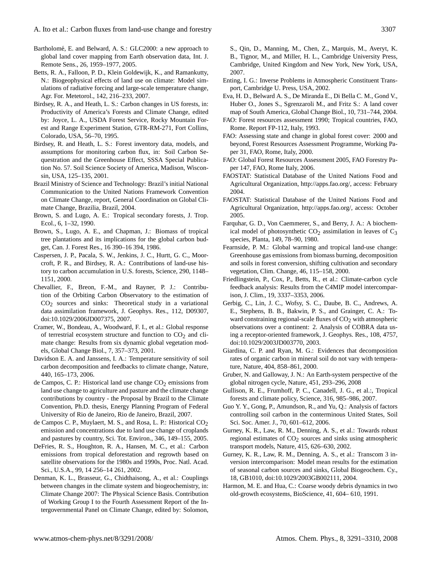- Bartholomé, E. and Belward, A. S.: GLC2000: a new approach to global land cover mapping from Earth observation data, Int. J. Remote Sens., 26, 1959–1977, 2005.
- Betts, R. A., Falloon, P. D., Klein Goldewijk, K., and Ramankutty, N.: Biogeophysical effects of land use on climate: Model simulations of radiative forcing and large-scale temperature change, Agr. For. Metetorol., 142, 216–233, 2007.
- Birdsey, R. A., and Heath, L. S.: Carbon changes in US forests, in: Productivity of America's Forests and Climate Change, edited by: Joyce, L. A., USDA Forest Service, Rocky Mountain Forest and Range Experiment Station, GTR-RM-271, Fort Collins, Colorado, USA, 56–70, 1995.
- Birdsey, R. and Heath, L. S.: Forest inventory data, models, and assumptions for monitoring carbon flux, in: Soil Carbon Sequestration and the Greenhouse Effect, SSSA Special Publication No. 57. Soil Science Society of America, Madison, Wisconsin, USA, 125–135, 2001.
- Brazil Ministry of Science and Technology: Brazil's initial National Communication to the United Nations Framework Convention on Climate Change, report, General Coordination on Global Climate Change, Brazilia, Brazil, 2004.
- Brown, S. and Lugo, A. E.: Tropical secondary forests, J. Trop. Ecol., 6, 1–32, 1990.
- Brown, S., Lugo, A. E., and Chapman, J.: Biomass of tropical tree plantations and its implications for the global carbon budget, Can. J. Forest Res., 16 390–16 394, 1986.
- Caspersen, J. P., Pacala, S. W., Jenkins, J. C., Hurtt, G. C., Moorcroft, P. R., and Birdsey, R. A.: Contributions of land-use history to carbon accumulation in U.S. forests, Science, 290, 1148– 1151, 2000.
- Chevallier, F., Breon, F.-M., and Rayner, P. J.: Contribution of the Orbiting Carbon Observatory to the estimation of  $CO<sub>2</sub>$  sources and sinks: Theoretical study in a variational data assimilation framework, J. Geophys. Res., 112, D09307, doi:10.1029/2006JD007375, 2007.
- Cramer, W., Bondeau, A., Woodward, F. I., et al.: Global response of terrestrial ecosystem structure and function to  $CO<sub>2</sub>$  and climate change: Results from six dynamic global vegetation models, Global Change Biol., 7, 357–373, 2001.
- Davidson E. A. and Janssens, I. A.: Temperature sensitivity of soil carbon decomposition and feedbacks to climate change, Nature, 440, 165–173, 2006.
- de Campos, C. P.: Historical land use change  $CO<sub>2</sub>$  emissions from land use change to agriculture and pasture and the climate change contributions by country - the Proposal by Brazil to the Climate Convention, Ph.D. thesis, Energy Planning Program of Federal University of Rio de Janeiro, Rio de Janeiro, Brazil, 2007.
- de Campos C. P., Muylaert, M. S., and Rosa, L. P.: Historical CO<sub>2</sub> emission and concentrations due to land use change of croplands and pastures by country, Sci. Tot. Environ., 346, 149–155, 2005.
- DeFries, R. S., Houghton, R. A., Hansen, M. C., et al.: Carbon emissions from tropical deforestation and regrowth based on satellite observations for the 1980s and 1990s, Proc. Natl. Acad. Sci., U.S.A., 99, 14 256–14 261, 2002.
- Denman, K. L., Brasseur, G., Chidthaisong, A., et al.: Couplings between changes in the climate system and biogeochemistry, in: Climate Change 2007: The Physical Science Basis. Contribution of Working Group I to the Fourth Assessment Report of the Intergovernmental Panel on Climate Change, edited by: Solomon,

S., Qin, D., Manning, M., Chen, Z., Marquis, M., Averyt, K. B., Tignor, M., and Miller, H. L., Cambridge University Press, Cambridge, United Kingdom and New York, New York, USA, 2007.

- Enting, I. G.: Inverse Problems in Atmospheric Constituent Transport, Cambridge U. Press, USA, 2002.
- Eva, H. D., Belward A. S., De Miranda E., Di Bella C. M., Gond V., Huber O., Jones S., Sgrenzaroli M., and Fritz S.: A land cover map of South America, Global Change Biol., 10, 731–744, 2004.
- FAO: Forest resources assessment 1990; Tropical countries, FAO, Rome. Report FP-112, Italy, 1993.
- FAO: Assessing state and change in global forest cover: 2000 and beyond, Forest Resources Assessment Programme, Working Paper 31, FAO, Rome, Italy, 2000.
- FAO: Global Forest Resources Assessment 2005, FAO Forestry Paper 147, FAO, Rome Italy, 2006.
- FAOSTAT: Statistical Database of the United Nations Food and Agricultural Organization, [http://apps.fao.org/,](http://apps.fao.org/) access: February 2004.
- FAOSTAT: Statistical Database of the United Nations Food and Agricultural Organization, [http://apps.fao.org/,](http://apps.fao.org/) access: October 2005.
- Farquhar, G. D., Von Caemmerer, S., and Berry, J. A.: A biochemical model of photosynthetic  $CO<sub>2</sub>$  assimilation in leaves of  $C<sub>3</sub>$ species, Planta, 149, 78–90, 1980.
- Fearnside, P. M.: Global warming and tropical land-use change: Greenhouse gas emissions from biomass burning, decomposition and soils in forest conversion, shifting cultivation and secondary vegetation, Clim. Change, 46, 115–158, 2000.
- Friedlingstein, P., Cox, P., Betts, R., et al.: Climate-carbon cycle feedback analysis: Results from the C4MIP model intercomparison, J. Clim., 19, 3337–3353, 2006.
- Gerbig, C., Lin, J. C., Wofsy, S. C., Daube, B. C., Andrews, A. E., Stephens, B. B., Bakwin, P. S., and Grainger, C. A.: Toward constraining regional-scale fluxes of  $CO<sub>2</sub>$  with atmospheric observations over a continent: 2. Analysis of COBRA data using a receptor-oriented framework, J. Geophys. Res., 108, 4757, doi:10.1029/2003JD003770, 2003.
- Giardina, C. P. and Ryan, M. G.: Evidences that decomposition rates of organic carbon in mineral soil do not vary with temperature, Nature, 404, 858–861, 2000.
- Gruber, N. and Galloway, J. N.: An Earth-system perspective of the global nitrogen cycle, Nature, 451, 293–296, 2008
- Gullison, R. E., Frumhoff, P. C., Canadell, J. G., et al.:, Tropical forests and climate policy, Science, 316, 985–986, 2007.
- Guo Y. Y., Gong, P., Amundson, R., and Yu, Q.: Analysis of factors controlling soil carbon in the conterminous United States, Soil Sci. Soc. Amer. J., 70, 601–612, 2006.
- Gurney, K. R., Law, R. M., Denning, A. S., et al.: Towards robust regional estimates of  $CO<sub>2</sub>$  sources and sinks using atmospheric transport models, Nature, 415, 626–630, 2002.
- Gurney, K. R., Law, R. M., Denning, A. S., et al.: Transcom 3 inversion intercomparison: Model mean results for the estimation of seasonal carbon sources and sinks, Global Biogeochem. Cy., 18, GB1010, doi:10.1029/2003GB002111, 2004.
- Harmon, M. E. and Hua, C.: Coarse woody debris dynamics in two old-growth ecosystems, BioScience, 41, 604– 610, 1991.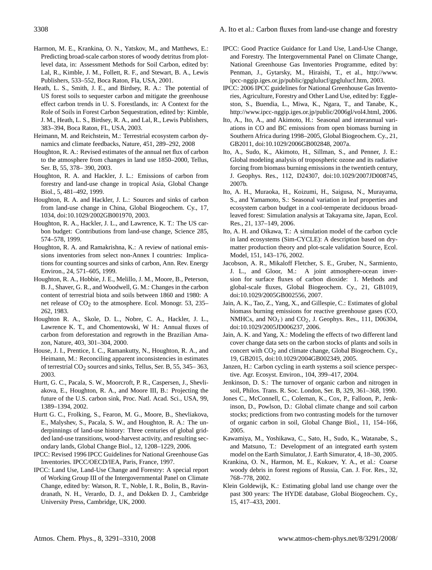- Harmon, M. E., Krankina, O. N., Yatskov, M., and Matthews, E.: Predicting broad-scale carbon stores of woody detritus from plotlevel data, in: Assessment Methods for Soil Carbon, edited by: Lal, R., Kimble, J. M., Follett, R. F., and Stewart, B. A., Lewis Publishers, 533–552, Boca Raton, Fla, USA, 2001.
- Heath, L. S., Smith, J. E., and Birdsey, R. A.: The potential of US forest soils to sequester carbon and mitigate the greenhouse effect carbon trends in U. S. Forestlands, in: A Context for the Role of Soils in Forest Carbon Sequestration, edited by: Kimble, J. M., Heath, L. S., Birdsey, R. A., and Lal, R., Lewis Publishers, 383–394, Boca Raton, FL, USA, 2003.
- Heimann, M. and Reichstein, M.: Terrestrial ecosystem carbon dynamics and climate feedbacks, Nature, 451, 289–292, 2008
- Houghton, R. A.: Revised estimates of the annual net flux of carbon to the atmosphere from changes in land use 1850–2000, Tellus, Ser. B, 55, 378– 390, 2003.
- Houghton, R. A. and Hackler, J. L.: Emissions of carbon from forestry and land-use change in tropical Asia, Global Change Biol., 5, 481–492, 1999.
- Houghton, R. A. and Hackler, J. L.: Sources and sinks of carbon from land-use change in China, Global Biogeochem. Cy., 17, 1034, doi:10.1029/2002GB001970, 2003.
- Houghton, R. A., Hackler, J. L., and Lawrence, K. T.: The US carbon budget: Contributions from land-use change, Science 285, 574–578, 1999.
- Houghton, R. A. and Ramakrishna, K.: A review of national emissions inventories from select non-Annex I countries: Implications for counting sources and sinks of carbon, Ann. Rev. Energy Environ., 24, 571–605, 1999.
- Houghton, R. A., Hobbie, J. E., Melillo, J. M., Moore, B., Peterson, B. J., Shaver, G. R., and Woodwell, G. M.: Changes in the carbon content of terrestrial biota and soils between 1860 and 1980: A net release of  $CO<sub>2</sub>$  to the atmosphere. Ecol. Monogr. 53, 235– 262, 1983.
- Houghton R. A., Skole, D. L., Nobre, C. A., Hackler, J. L., Lawrence K. T., and Chomentowski, W H.: Annual fluxes of carbon from deforestation and regrowth in the Brazilian Amazon, Nature, 403, 301–304, 2000.
- House, J. I., Prentice, I. C., Ramankutty, N., Houghton, R. A., and Heimann, M.: Reconciling apparent inconsistencies in estimates of terrestrial  $CO<sub>2</sub>$  sources and sinks, Tellus, Ser. B, 55, 345–363, 2003.
- Hurtt, G. C., Pacala, S. W., Moorcroft, P. R., Caspersen, J., Shevliakova, E., Houghton, R. A., and Moore III, B.: Projecting the future of the U.S. carbon sink, Proc. Natl. Acad. Sci., USA, 99, 1389–1394, 2002.
- Hurtt G. C., Frolking, S., Fearon, M. G., Moore, B., Shevliakova, E., Malyshev, S., Pacala, S. W., and Houghton, R. A.: The underpinnings of land-use history: Three centuries of global gridded land-use transitions, wood-harvest activity, and resulting secondary lands, Global Change Biol., 12, 1208–1229, 2006.
- IPCC: Revised 1996 IPCC Guidelines for National Greenhouse Gas Inventories. IPCC/OECD/IEA, Paris, France, 1997.
- IPCC: Land Use, Land-Use Change and Forestry: A special report of Working Group III of the Intergovernmental Panel on Climate Change, edited by: Watson, R. T., Noble, I. R., Bolin, B., Ravindranath, N. H., Verardo, D. J., and Dokken D. J., Cambridge University Press, Cambridge, UK, 2000.
- IPCC: Good Practice Guidance for Land Use, Land-Use Change, and Forestry. The Intergovernmental Panel on Climate Change, National Greenhouse Gas Inventories Programme, edited by: Penman, J., Gytarsky, M., Hiraishi, T., et al., [http://www.](http://www.ipcc-nggip.iges.or.jp/public/gpglulucf/gpglulucf.htm) [ipcc-nggip.iges.or.jp/public/gpglulucf/gpglulucf.htm,](http://www.ipcc-nggip.iges.or.jp/public/gpglulucf/gpglulucf.htm) 2003.
- IPCC: 2006 IPCC guidelines for National Greenhouse Gas Inventories, Agriculture, Forestry and Other Land Use, edited by: Eggleston, S., Buendia, L., Miwa, K., Ngara, T., and Tanabe, K., [http://www.ipcc-nggip.iges.or.jp/public/2006gl/vol4.html,](http://www.ipcc-nggip.iges.or.jp/public/2006gl/vol4.html) 2006.
- Ito, A., Ito, A., and Akimoto, H.: Seasonal and interannual variations in CO and BC emissions from open biomass burning in Southern Africa during 1998–2005, Global Biogeochem. Cy., 21, GB2011, doi:10.1029/2006GB002848, 2007a.
- Ito, A., Sudo, K., Akimoto, H., Sillman, S., and Penner, J. E.: Global modeling analysis of tropospheric ozone and its radiative forcing from biomass burning emissions in the twentieth century, J. Geophys. Res., 112, D24307, doi:10.1029/2007JD008745, 2007b.
- Ito, A. H., Muraoka, H., Koizumi, H., Saigusa, N., Murayama, S., and Yamamoto, S.: Seasonal variation in leaf properties and ecosystem carbon budget in a cool-temperate deciduous broadleaved forest: Simulation analysis at Takayama site, Japan, Ecol. Res., 21, 137–149, 2006.
- Ito, A. H. and Oikawa, T.: A simulation model of the carbon cycle in land ecosystems (Sim-CYCLE): A description based on drymatter production theory and plot-scale validation Source, Ecol. Model, 151, 143–176, 2002.
- Jacobson, A. R., Mikaloff Fletcher, S. E., Gruber, N., Sarmiento, J. L., and Gloor, M.: A joint atmosphere-ocean inversion for surface fluxes of carbon dioxide: 1. Methods and global-scale fluxes, Global Biogeochem. Cy., 21, GB1019, doi:10.1029/2005GB002556, 2007.
- Jain, A. K., Tao, Z., Yang, X., and Gillespie, C.: Estimates of global biomass burning emissions for reactive greenhouse gases (CO, NMHCs, and  $NO_x$ ) and  $CO_2$ , J. Geophys. Res., 111, D06304, doi:10.1029/2005JD006237, 2006.
- Jain, A. K. and Yang, X.: Modeling the effects of two different land cover change data sets on the carbon stocks of plants and soils in concert with  $CO<sub>2</sub>$  and climate change, Global Biogeochem. Cy., 19, GB2015, doi:10.1029/2004GB002349, 2005.
- Janzen, H.: Carbon cycling in earth systems a soil science perspective. Agr. Ecosyst. Environ., 104, 399–417, 2004.
- Jenkinson, D. S.: The turnover of organic carbon and nitrogen in soil, Philos. Trans. R. Soc. London, Ser. B, 329, 361–368, 1990.
- Jones C., McConnell, C., Coleman, K., Cox, P., Falloon, P., Jenkinson, D., Powlson, D.: Global climate change and soil carbon stocks; predictions from two contrasting models for the turnover of organic carbon in soil, Global Change Biol., 11, 154–166, 2005.
- Kawamiya, M., Yoshikawa, C., Sato, H., Sudo, K., Watanabe, S., and Matsuno, T.: Development of an integrated earth system model on the Earth Simulator, J. Earth Simurator, 4, 18–30, 2005.
- Krankina, O. N., Harmon, M. E., Kukuev, Y. A., et al.: Coarse woody debris in forest regions of Russia, Can. J. For. Res., 32, 768–778, 2002.
- Klein Goldewijk, K.: Estimating global land use change over the past 300 years: The HYDE database, Global Biogeochem. Cy., 15, 417–433, 2001.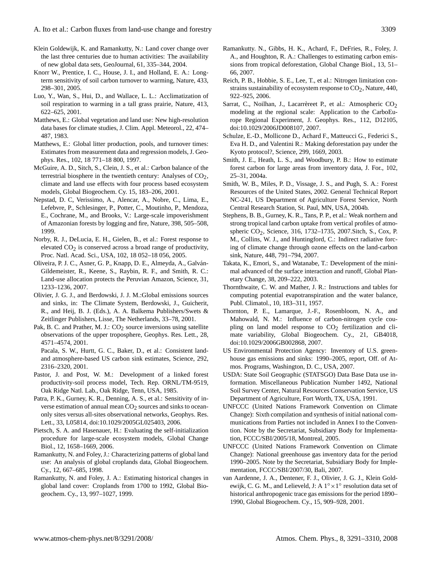- Klein Goldewijk, K. and Ramankutty, N.: Land cover change over the last three centuries due to human activities: The availability of new global data sets, GeoJournal, 61, 335–344, 2004.
- Knorr W., Prentice, I. C., House, J. I., and Holland, E. A.: Longterm sensitivity of soil carbon turnover to warming, Nature, 433, 298–301, 2005.
- Luo, Y., Wan, S., Hui, D., and Wallace, L. L.: Acclimatization of soil respiration to warming in a tall grass prairie, Nature, 413, 622–625, 2001.
- Matthews, E.: Global vegetation and land use: New high-resolution data bases for climate studies, J. Clim. Appl. Meteorol., 22, 474– 487, 1983.
- Matthews, E.: Global litter production, pools, and turnover times: Estimates from measurement data and regression models, J. Geophys. Res., 102, 18 771–18 800, 1997.
- McGuire, A. D., Sitch, S., Clein, J. S., et al.: Carbon balance of the terrestrial biosphere in the twentieth century: Analyses of  $CO<sub>2</sub>$ , climate and land use effects with four process based ecosystem models, Global Biogeochem. Cy. 15, 183–206, 2001.
- Nepstad, D. C, Verissimo, A., Alencar, A., Nobre, C., Lima, E., Lefebvre, P., Schlesinger, P., Potter, C., Moutinho, P., Mendoza, E., Cochrane, M., and Brooks, V.: Large-scale impoverishment of Amazonian forests by logging and fire, Nature, 398, 505–508, 1999.
- Norby, R. J., DeLucia, E. H., Gielen, B., et al.: Forest response to elevated CO2 is conserved across a broad range of productivity, Proc. Natl. Acad. Sci., USA, 102, 18 052–18 056, 2005.
- Oliveira, P. J. C., Asner, G. P., Knapp, D. E., Almeyda, A., Galván-Gildemeister, R., Keene, S., Raybin, R. F., and Smith, R. C.: Land-use allocation protects the Peruvian Amazon, Science, 31, 1233–1236, 2007.
- Olivier, J. G. J., and Berdowski, J. J. M.:Global emissions sources and sinks, in: The Climate System, Berdowski, J., Guicherit, R., and Heij, B. J. (Eds.), A. A. Balkema Publishers/Swets & Zeitlinger Publishers, Lisse, The Netherlands, 33–78, 2001.
- Pak, B. C. and Prather, M. J.: CO<sub>2</sub> source inversions using satellite observations of the upper troposphere, Geophys. Res. Lett., 28, 4571–4574, 2001.

Pacala, S. W., Hurtt, G. C., Baker, D., et al.: Consistent landand atmosphere-based US carbon sink estimates, Science, 292, 2316–2320, 2001.

- Pastor, J. and Post, W. M.: Development of a linked forest productivity-soil process model, Tech. Rep. ORNL/TM-9519, Oak Ridge Natl. Lab., Oak Ridge, Tenn, USA, 1985.
- Patra, P. K., Gurney, K. R., Denning, A. S., et al.: Sensitivity of inverse estimation of annual mean  $CO<sub>2</sub>$  sources and sinks to oceanonly sites versus all-sites observational networks, Geophys. Res. Lett., 33, L05814, doi:10.1029/2005GL025403, 2006.
- Pietsch, S. A. and Hasenauer, H.: Evaluating the self-initialization procedure for large-scale ecosystem models, Global Change Biol., 12, 1658–1669, 2006.
- Ramankutty, N. and Foley, J.: Characterizing patterns of global land use: An analysis of global croplands data, Global Biogeochem. Cy., 12, 667–685, 1998.
- Ramankutty, N. and Foley, J. A.: Estimating historical changes in global land cover: Croplands from 1700 to 1992, Global Biogeochem. Cy., 13, 997–1027, 1999.
- Ramankutty. N., Gibbs, H. K., Achard, F., DeFries, R., Foley, J. A., and Houghton, R. A.: Challenges to estimating carbon emissions from tropical deforestation, Global Change Biol., 13, 51– 66, 2007.
- Reich, P. B., Hobbie, S. E., Lee, T., et al.: Nitrogen limitation constrains sustainability of ecosystem response to  $CO<sub>2</sub>$ , Nature, 440, 922–925, 2006.
- Sarrat, C., Noilhan, J., Lacarrèreet P., et al.: Atmospheric  $CO<sub>2</sub>$ modeling at the regional scale: Application to the CarboEurope Regional Experiment, J. Geophys. Res., 112, D12105, doi:10.1029/2006JD008107, 2007.
- Schulze, E.-D., Mollicone D., Achard F., Matteucci G., Federici S., Eva H. D., and Valentini R.: Making deforestation pay under the Kyoto protocol?, Science, 299, 1669, 2003.
- Smith, J. E., Heath, L. S., and Woodbury, P. B.: How to estimate forest carbon for large areas from inventory data, J. For., 102, 25–31, 2004a.
- Smith, W. B., Miles, P. D., Vissage, J. S., and Pugh, S. A.: Forest Resources of the United States, 2002. General Technical Report NC-241, US Department of Agriculture Forest Service, North Central Research Station, St. Paul, MN, USA, 2004b.
- Stephens, B. B., Gurney, K. R., Tans, P. P., et al.: Weak northern and strong tropical land carbon uptake from vertical profiles of atmospheric CO2, Science, 316, 1732–1735, 2007.Sitch, S., Cox, P. M., Collins, W. J., and Huntingford, C.: Indirect radiative forcing of climate change through ozone effects on the land-carbon sink, Nature, 448, 791–794, 2007.
- Takata, K., Emori, S., and Watanabe, T.: Development of the minimal advanced of the surface interaction and runoff, Global Planetary Change, 38, 209–222, 2003.
- Thornthwaite, C. W. and Mather, J. R.: Instructions and tables for computing potential evapotranspiration and the water balance, Publ. Climatol., 10, 183–311, 1957.
- Thornton, P. E., Lamarque, J.-F., Rosenbloom, N. A., and Mahowald, N. M.: Influence of carbon-nitrogen cycle coupling on land model response to  $CO<sub>2</sub>$  fertilization and climate variability, Global Biogeochem. Cy., 21, GB4018, doi:10.1029/2006GB002868, 2007.
- US Environmental Protection Agency: Inventory of U.S. greenhouse gas emissions and sinks: 1990–2005, report, Off. of Atmos. Programs, Washington, D. C., USA, 2007.
- USDA: State Soil Geographic (STATSGO) Data Base Data use information. Miscellaneous Publication Number 1492, National Soil Survey Center, Natural Resources Conservation Service, US Department of Agriculture, Fort Worth, TX, USA, 1991.
- UNFCCC (United Nations Framework Convention on Climate Change): Sixth compilation and synthesis of initial national communications from Parties not included in Annex I to the Convention. Note by the Secretariat, Subsidiary Body for Implementation, FCCC/SBI/2005/18, Montreal, 2005.
- UNFCCC (United Nations Framework Convention on Climate Change): National greenhouse gas inventory data for the period 1990–2005. Note by the Secretariat, Subsidiary Body for Implementation, FCCC/SBI/2007/30, Bali, 2007.
- van Aardenne, J. A., Dentener, F. J., Olivier, J. G. J., Klein Goldewijk, C. G. M., and Lelieveld, J: A  $1^{\circ} \times 1^{\circ}$  resolution data set of historical anthropogenic trace gas emissions for the period 1890– 1990, Global Biogeochem. Cy., 15, 909–928, 2001.